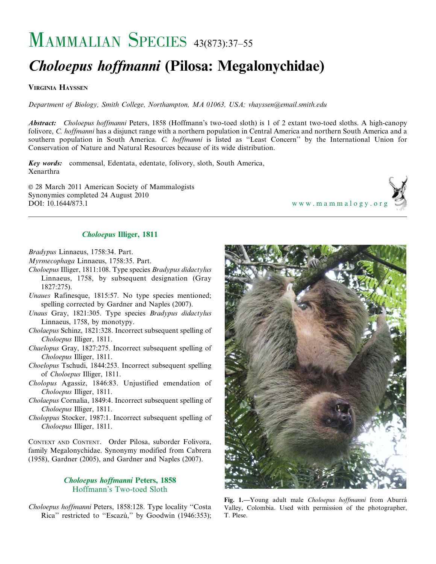# MAMMALIAN SPECIES 43(873):37–55

# Choloepus hoffmanni (Pilosa: Megalonychidae)

VIRGINIA HAYSSEN

Department of Biology, Smith College, Northampton, MA 01063, USA; vhayssen@email.smith.edu

Abstract: Choloepus hoffmanni Peters, 1858 (Hoffmann's two-toed sloth) is 1 of 2 extant two-toed sloths. A high-canopy folivore, C. hoffmanni has a disjunct range with a northern population in Central America and northern South America and a southern population in South America. C. hoffmanni is listed as "Least Concern" by the International Union for Conservation of Nature and Natural Resources because of its wide distribution.

Key words: commensal, Edentata, edentate, folivory, sloth, South America, Xenarthra

E 28 March 2011 American Society of Mammalogists Synonymies completed 24 August 2010<br>DOI: 10.1644/873.1

<www.mammalogy.org>

## Choloepus Illiger, 1811

Bradypus Linnaeus, 1758:34. Part.

- Myrmecophaga Linnaeus, 1758:35. Part.
- Choloepus Illiger, 1811:108. Type species Bradypus didactylus Linnaeus, 1758, by subsequent designation (Gray 1827:275).
- Unaues Rafinesque, 1815:57. No type species mentioned; spelling corrected by Gardner and Naples (2007).
- Unaus Gray, 1821:305. Type species Bradypus didactylus Linnaeus, 1758, by monotypy.
- Cholaepus Schinz, 1821:328. Incorrect subsequent spelling of Choloepus Illiger, 1811.
- Chaelopus Gray, 1827:275. Incorrect subsequent spelling of Choloepus Illiger, 1811.
- Choelopus Tschudi, 1844:253. Incorrect subsequent spelling of Choloepus Illiger, 1811.
- Cholopus Agassiz, 1846:83. Unjustified emendation of Choloepus Illiger, 1811.
- Cholaepus Cornalia, 1849:4. Incorrect subsequent spelling of Choloepus Illiger, 1811.
- Choloppus Stocker, 1987:1. Incorrect subsequent spelling of Choloepus Illiger, 1811.

CONTEXT AND CONTENT. Order Pilosa, suborder Folivora, family Megalonychidae. Synonymy modified from Cabrera (1958), Gardner (2005), and Gardner and Naples (2007).

### Choloepus hoffmanni Peters, 1858 Hoffmann's Two-toed Sloth

Choloepus hoffmanni Peters, 1858:128. Type locality ''Costa Rica" restricted to "Escazú," by Goodwin (1946:353);



Fig. 1.—Young adult male Choloepus hoffmanni from Aburrá Valley, Colombia. Used with permission of the photographer, T. Plese.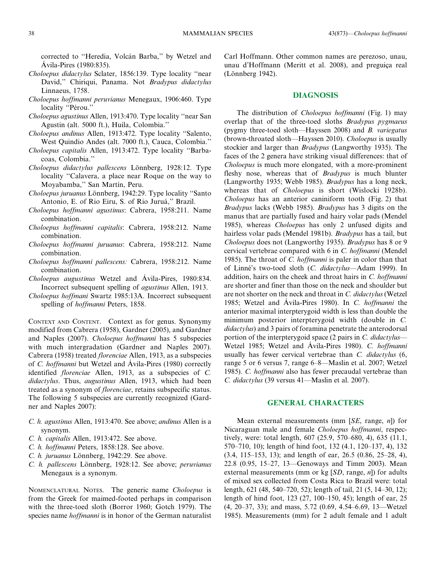corrected to "Heredia, Volcán Barba," by Wetzel and Ávila-Pires (1980:835).

- Choloepus didactylus Sclater, 1856:139. Type locality ''near David,'' Chiriqui, Panama. Not Bradypus didactylus Linnaeus, 1758.
- Choloepus hoffmanni peruvianus Menegaux, 1906:460. Type locality "Pérou."
- Choloepus agustinus Allen, 1913:470. Type locality ''near San Agustin (alt. 5000 ft.), Huila, Colombia.''
- Choloepus andinus Allen, 1913:472. Type locality ''Salento, West Quindio Andes (alt. 7000 ft.), Cauca, Colombia.''
- Choloepus capitalis Allen, 1913:472. Type locality ''Barbacoas, Colombia.''
- Choloepus didactylus pallescens Lönnberg, 1928:12. Type locality ''Calavera, a place near Roque on the way to Moyabamba," San Martín, Peru.
- Choloepus juruanus Lönnberg, 1942:29. Type locality "Santo Antonio, E. of Rio Eiru, S. of Rio Juruá," Brazil.
- Choloepus hoffmanni agustinus: Cabrera, 1958:211. Name combination.
- Choloepus hoffmanni capitalis: Cabrera, 1958:212. Name combination.
- Choloepus hoffmanni juruanus: Cabrera, 1958:212. Name combination.
- Choloepus hoffmanni pallescens: Cabrera, 1958:212. Name combination.
- Choloepus augustinus Wetzel and Ávila-Pires, 1980:834. Incorrect subsequent spelling of agustinus Allen, 1913.
- Choloepus hoffmani Swartz 1985:13A. Incorrect subsequent spelling of hoffmanni Peters, 1858.

CONTEXT AND CONTENT. Context as for genus. Synonymy modified from Cabrera (1958), Gardner (2005), and Gardner and Naples (2007). Choloepus hoffmanni has 5 subspecies with much intergradation (Gardner and Naples 2007). Cabrera (1958) treated florenciae Allen, 1913, as a subspecies of *C. hoffmanni* but Wetzel and Ávila-Pires (1980) correctly identified florenciae Allen, 1913, as a subspecies of C. didactylus. Thus, augustinus Allen, 1913, which had been treated as a synonym of florenciae, retains subspecific status. The following 5 subspecies are currently recognized (Gardner and Naples 2007):

- C. h. agustinus Allen, 1913:470. See above; andinus Allen is a synonym.
- C. h. capitalis Allen, 1913:472. See above.
- C. h. hoffmanni Peters, 1858:128. See above.
- C. h. juruanus Lönnberg, 1942:29. See above.
- C. h. pallescens Lönnberg, 1928:12. See above; peruvianus Menegaux is a synonym.

NOMENCLATURAL NOTES. The generic name Choloepus is from the Greek for maimed-footed perhaps in comparison with the three-toed sloth (Borror 1960; Gotch 1979). The species name *hoffmanni* is in honor of the German naturalist Carl Hoffmann. Other common names are perezoso, unau, unau d'Hoffmann (Meritt et al. 2008), and preguiça real (Lönnberg 1942).

#### DIAGNOSIS

The distribution of Choloepus hoffmanni (Fig. 1) may overlap that of the three-toed sloths Bradypus pygmaeus (pygmy three-toed sloth—Hayssen 2008) and B. variegatus (brown-throated sloth—Hayssen 2010). Choloepus is usually stockier and larger than Bradypus (Langworthy 1935). The faces of the 2 genera have striking visual differences: that of Choloepus is much more elongated, with a more-prominent fleshy nose, whereas that of Bradypus is much blunter (Langworthy 1935; Webb 1985). Bradypus has a long neck, whereas that of Choloepus is short (Wislocki 1928b). Choloepus has an anterior caniniform tooth (Fig. 2) that Bradypus lacks (Webb 1985). Bradypus has 3 digits on the manus that are partially fused and hairy volar pads (Mendel 1985), whereas Choloepus has only 2 unfused digits and hairless volar pads (Mendel 1981b). Bradypus has a tail, but Choloepus does not (Langworthy 1935). Bradypus has 8 or 9 cervical vertebrae compared with 6 in C. hoffmanni (Mendel 1985). The throat of *C. hoffmanni* is paler in color than that of Linné's two-toed sloth (C. didactylus-Adam 1999). In addition, hairs on the cheek and throat hairs in C. *hoffmanni* are shorter and finer than those on the neck and shoulder but are not shorter on the neck and throat in C. didactylus (Wetzel 1985; Wetzel and Ávila-Pires 1980). In C. *hoffmanni* the anterior maximal interpterygoid width is less than double the minimum posterior interpterygoid width (double in C. didactylus) and 3 pairs of foramina penetrate the anterodorsal portion of the interpterygoid space (2 pairs in C. didactylus-Wetzel 1985; Wetzel and Ávila-Pires 1980). C. hoffmanni usually has fewer cervical vertebrae than C. didactylus (6, range 5 or 6 versus 7, range 6–8—Maslin et al. 2007; Wetzel 1985). C. hoffmanni also has fewer precaudal vertebrae than C. didactylus (39 versus 41—Maslin et al. 2007).

#### GENERAL CHARACTERS

Mean external measurements (mm  $[SE, \text{range}, n]$ ) for Nicaraguan male and female Choloepus hoffmanni, respectively, were: total length, 607 (25.9, 570–680, 4), 635 (11.1, 570–710, 10); length of hind foot, 132 (4.1, 120–137, 4), 132 (3.4, 115–153, 13); and length of ear, 26.5 (0.86, 25–28, 4), 22.8 (0.95, 15–27, 13—Genoways and Timm 2003). Mean external measurements (mm or kg  $[SD, \text{range}, n]$ ) for adults of mixed sex collected from Costa Rica to Brazil were: total length, 621 (48, 540–720, 52); length of tail, 21 (5, 14–30, 12); length of hind foot, 123 (27, 100–150, 45); length of ear, 25 (4, 20–37, 33); and mass, 5.72 (0.69, 4.54–6.69, 13—Wetzel 1985). Measurements (mm) for 2 adult female and 1 adult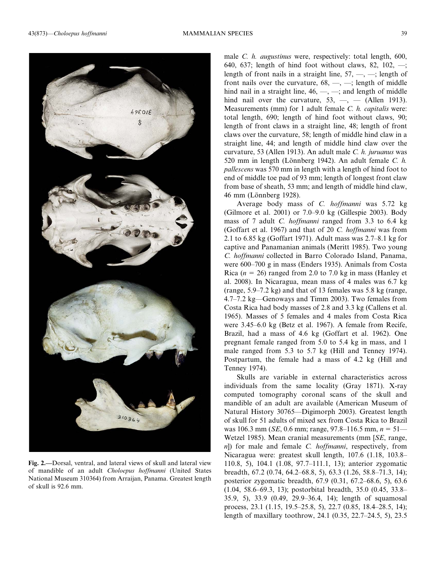

Fig. 2.—Dorsal, ventral, and lateral views of skull and lateral view of mandible of an adult Choloepus hoffmanni (United States National Museum 310364) from Arraijan, Panama. Greatest length of skull is 92.6 mm.

male *C. h. augustinus* were, respectively: total length, 600, 640, 637; length of hind foot without claws, 82, 102,  $\rightarrow$ ; length of front nails in a straight line,  $57, -, -$ ; length of front nails over the curvature,  $68, -, -$ ; length of middle hind nail in a straight line,  $46, \underline{\hspace{1cm}}, \underline{\hspace{1cm}}$  and length of middle hind nail over the curvature,  $53, -$ , - (Allen 1913). Measurements (mm) for 1 adult female C. h. capitalis were: total length, 690; length of hind foot without claws, 90; length of front claws in a straight line, 48; length of front claws over the curvature, 58; length of middle hind claw in a straight line, 44; and length of middle hind claw over the curvature, 53 (Allen 1913). An adult male C. h. juruanus was 520 mm in length (Lönnberg 1942). An adult female C.  $h$ . pallescens was 570 mm in length with a length of hind foot to end of middle toe pad of 93 mm; length of longest front claw from base of sheath, 53 mm; and length of middle hind claw, 46 mm (Lönnberg 1928).

Average body mass of C. hoffmanni was 5.72 kg (Gilmore et al. 2001) or 7.0–9.0 kg (Gillespie 2003). Body mass of 7 adult *C. hoffmanni* ranged from 3.3 to 6.4 kg (Goffart et al. 1967) and that of 20 C. hoffmanni was from 2.1 to 6.85 kg (Goffart 1971). Adult mass was 2.7–8.1 kg for captive and Panamanian animals (Meritt 1985). Two young C. hoffmanni collected in Barro Colorado Island, Panama, were 600–700 g in mass (Enders 1935). Animals from Costa Rica ( $n = 26$ ) ranged from 2.0 to 7.0 kg in mass (Hanley et al. 2008). In Nicaragua, mean mass of 4 males was 6.7 kg (range, 5.9–7.2 kg) and that of 13 females was 5.8 kg (range, 4.7–7.2 kg—Genoways and Timm 2003). Two females from Costa Rica had body masses of 2.8 and 3.3 kg (Callens et al. 1965). Masses of 5 females and 4 males from Costa Rica were 3.45–6.0 kg (Betz et al. 1967). A female from Recife, Brazil, had a mass of 4.6 kg (Goffart et al. 1962). One pregnant female ranged from 5.0 to 5.4 kg in mass, and 1 male ranged from 5.3 to 5.7 kg (Hill and Tenney 1974). Postpartum, the female had a mass of 4.2 kg (Hill and Tenney 1974).

Skulls are variable in external characteristics across individuals from the same locality (Gray 1871). X-ray computed tomography coronal scans of the skull and mandible of an adult are available (American Museum of Natural History 30765—Digimorph 2003). Greatest length of skull for 51 adults of mixed sex from Costa Rica to Brazil was 106.3 mm (*SE*, 0.6 mm; range, 97.8–116.5 mm,  $n = 51$ — Wetzel 1985). Mean cranial measurements (mm [SE, range,  $n$ ]) for male and female *C. hoffmanni*, respectively, from Nicaragua were: greatest skull length, 107.6 (1.18, 103.8– 110.8, 5), 104.1 (1.08, 97.7–111.1, 13); anterior zygomatic breadth, 67.2 (0.74, 64.2–68.8, 5), 63.3 (1.26, 58.8–71.3, 14); posterior zygomatic breadth, 67.9 (0.31, 67.2–68.6, 5), 63.6 (1.04, 58.6–69.3, 13); postorbital breadth, 35.0 (0.45, 33.8– 35.9, 5), 33.9 (0.49, 29.9–36.4, 14); length of squamosal process, 23.1 (1.15, 19.5–25.8, 5), 22.7 (0.85, 18.4–28.5, 14); length of maxillary toothrow, 24.1 (0.35, 22.7–24.5, 5), 23.5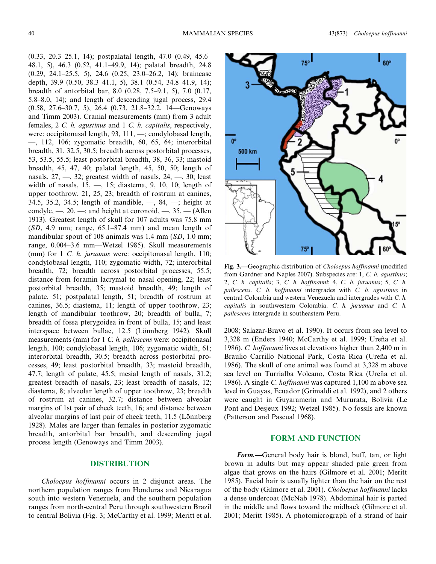(0.33, 20.3–25.1, 14); postpalatal length, 47.0 (0.49, 45.6– 48.1, 5), 46.3 (0.52, 41.1–49.9, 14); palatal breadth, 24.8 (0.29, 24.1–25.5, 5), 24.6 (0.25, 23.0–26.2, 14); braincase depth, 39.9 (0.50, 38.3–41.1, 5), 38.1 (0.54, 34.8–41.9, 14); breadth of antorbital bar, 8.0 (0.28, 7.5–9.1, 5), 7.0 (0.17, 5.8–8.0, 14); and length of descending jugal process, 29.4 (0.58, 27.6–30.7, 5), 26.4 (0.73, 21.8–32.2, 14—Genoways and Timm 2003). Cranial measurements (mm) from 3 adult females, 2 C. h. agustinus and 1 C. h. capitalis, respectively, were: occipitonasal length, 93, 111, —; condylobasal length,  $\sim$ , 112, 106; zygomatic breadth, 60, 65, 64; interorbital breadth, 31, 32.5, 30.5; breadth across postorbital processes, 53, 53.5, 55.5; least postorbital breadth, 38, 36, 33; mastoid breadth, 45, 47, 40; palatal length, 45, 50, 50; length of nasals,  $27, -32$ ; greatest width of nasals,  $24, -30$ ; least width of nasals, 15, —, 15; diastema, 9, 10, 10; length of upper toothrow, 21, 25, 23; breadth of rostrum at canines, 34.5, 35.2, 34.5; length of mandible, —, 84, —; height at condyle,  $\sim$ , 20,  $\sim$ ; and height at coronoid,  $\sim$ , 35,  $\sim$  (Allen 1913). Greatest length of skull for 107 adults was 75.8 mm  $(SD, 4.9$  mm; range,  $65.1-87.4$  mm) and mean length of mandibular spout of 108 animals was 1.4 mm (SD, 1.0 mm; range, 0.004–3.6 mm—Wetzel 1985). Skull measurements (mm) for 1 C. h. juruanus were: occipitonasal length, 110; condylobasal length, 110; zygomatic width, 72; interorbital breadth, 72; breadth across postorbital processes, 55.5; distance from foramin lacrymal to nasal opening, 22; least postorbital breadth, 35; mastoid breadth, 49; length of palate, 51; postpalatal length, 51; breadth of rostrum at canines, 36.5; diastema, 11; length of upper toothrow, 23; length of mandibular toothrow, 20; breadth of bulla, 7; breadth of fossa pterygoidea in front of bulla, 15; and least interspace between bullae, 12.5 (Lönnberg 1942). Skull measurements (mm) for 1 C. h. pallescens were: occipitonasal length, 100; condylobasal length, 106; zygomatic width, 61; interorbital breadth, 30.5; breadth across postorbital processes, 49; least postorbital breadth, 33; mastoid breadth, 47.7; length of palate, 45.5; mesial length of nasals, 31.2; greatest breadth of nasals, 23; least breadth of nasals, 12; diastema, 8; alveolar length of upper toothrow, 23; breadth of rostrum at canines, 32.7; distance between alveolar margins of 1st pair of cheek teeth, 16; and distance between alveolar margins of last pair of cheek teeth,  $11.5$  (Lönnberg) 1928). Males are larger than females in posterior zygomatic breadth, antorbital bar breadth, and descending jugal process length (Genoways and Timm 2003).

#### DISTRIBUTION

Choloepus hoffmanni occurs in 2 disjunct areas. The northern population ranges from Honduras and Nicaragua south into western Venezuela, and the southern population ranges from north-central Peru through southwestern Brazil to central Bolivia (Fig. 3; McCarthy et al. 1999; Meritt et al.



Fig. 3.—Geographic distribution of Choloepus hoffmanni (modified from Gardner and Naples 2007). Subspecies are: 1, C. h. agustinus; 2, C. h. capitalis; 3, C. h. hoffmanni; 4, C. h. juruanus; 5, C. h. pallescens. C. h. hoffmanni intergrades with C. h. agustinus in central Colombia and western Venezuela and intergrades with C. h. capitalis in southwestern Colombia. C. h. juruanus and C. h. pallescens intergrade in southeastern Peru.

2008; Salazar-Bravo et al. 1990). It occurs from sea level to 3,328 m (Enders 1940; McCarthy et al. 1999; Ureña et al. 1986). C. hoffmanni lives at elevations higher than 2,400 m in Braulio Carrillo National Park, Costa Rica (Ureña et al. 1986). The skull of one animal was found at 3,328 m above sea level on Turrialba Volcano, Costa Rica (Ureña et al. 1986). A single C. hoffmanni was captured 1,100 m above sea level in Guayas, Ecuador (Grimaldi et al. 1992), and 2 others were caught in Guyaramerin and Mururata, Bolivia (Le Pont and Desjeux 1992; Wetzel 1985). No fossils are known (Patterson and Pascual 1968).

#### FORM AND FUNCTION

Form.—General body hair is blond, buff, tan, or light brown in adults but may appear shaded pale green from algae that grows on the hairs (Gilmore et al. 2001; Meritt 1985). Facial hair is usually lighter than the hair on the rest of the body (Gilmore et al. 2001). Choloepus hoffmanni lacks a dense undercoat (McNab 1978). Abdominal hair is parted in the middle and flows toward the midback (Gilmore et al. 2001; Meritt 1985). A photomicrograph of a strand of hair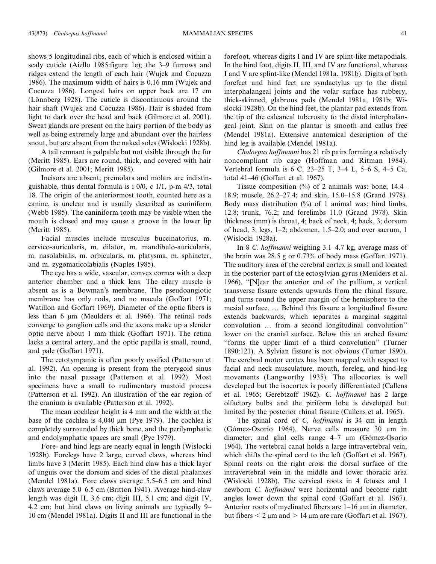shows 5 longitudinal ribs, each of which is enclosed within a scaly cuticle (Aiello 1985:figure 1e); the 3–9 furrows and ridges extend the length of each hair (Wujek and Cocuzza 1986). The maximum width of hairs is 0.16 mm (Wujek and Cocuzza 1986). Longest hairs on upper back are 17 cm (Lönnberg 1928). The cuticle is discontinuous around the hair shaft (Wujek and Cocuzza 1986). Hair is shaded from light to dark over the head and back (Gilmore et al. 2001). Sweat glands are present on the hairy portion of the body as well as being extremely large and abundant over the hairless snout, but are absent from the naked soles (Wislocki 1928b).

A tail remnant is palpable but not visible through the fur (Meritt 1985). Ears are round, thick, and covered with hair (Gilmore et al. 2001; Meritt 1985).

Incisors are absent; premolars and molars are indistinguishable, thus dental formula is i 0/0, c 1/1, p-m 4/3, total 18. The origin of the anteriormost tooth, counted here as a canine, is unclear and is usually described as caniniform (Webb 1985). The caniniform tooth may be visible when the mouth is closed and may cause a groove in the lower lip (Meritt 1985).

Facial muscles include musculus buccinatorius, m. cervico-auricularis, m. dilator, m. mandibulo-auricularis, m. nasolabialis, m. orbicularis, m. platysma, m. sphincter, and m. zygomaticolabialis (Naples 1985).

The eye has a wide, vascular, convex cornea with a deep anterior chamber and a thick lens. The cilary muscle is absent as is a Bowman's membrane. The pseudoangiotic membrane has only rods, and no macula (Goffart 1971; Watillon and Goffart 1969). Diameter of the optic fibers is less than 6 µm (Meulders et al. 1966). The retinal rods converge to ganglion cells and the axons make up a slender optic nerve about 1 mm thick (Goffart 1971). The retina lacks a central artery, and the optic papilla is small, round, and pale (Goffart 1971).

The ectotympanic is often poorly ossified (Patterson et al. 1992). An opening is present from the pterygoid sinus into the nasal passage (Patterson et al. 1992). Most specimens have a small to rudimentary mastoid process (Patterson et al. 1992). An illustration of the ear region of the cranium is available (Patterson et al. 1992).

The mean cochlear height is 4 mm and the width at the base of the cochlea is  $4,040 \mu m$  (Pye 1979). The cochlea is completely surrounded by thick bone, and the perilymphatic and endolymphatic spaces are small (Pye 1979).

Fore- and hind legs are nearly equal in length (Wislocki 1928b). Forelegs have 2 large, curved claws, whereas hind limbs have 3 (Meritt 1985). Each hind claw has a thick layer of unguis over the dorsum and sides of the distal phalanxes (Mendel 1981a). Fore claws average 5.5–6.5 cm and hind claws average 5.0–6.5 cm (Britton 1941). Average hind-claw length was digit II, 3.6 cm; digit III, 5.1 cm; and digit IV, 4.2 cm; but hind claws on living animals are typically 9– 10 cm (Mendel 1981a). Digits II and III are functional in the forefoot, whereas digits I and IV are splint-like metapodials. In the hind foot, digits II, III, and IV are functional, whereas I and V are splint-like (Mendel 1981a, 1981b). Digits of both forefeet and hind feet are syndactylus up to the distal interphalangeal joints and the volar surface has rubbery, thick-skinned, glabrous pads (Mendel 1981a, 1981b; Wislocki 1928b). On the hind feet, the plantar pad extends from the tip of the calcaneal tuberosity to the distal interphalangeal joint. Skin on the plantar is smooth and callus free (Mendel 1981a). Extensive anatomical description of the hind leg is available (Mendel 1981a).

Choloepus hoffmanni has 21 rib pairs forming a relatively noncompliant rib cage (Hoffman and Ritman 1984). Vertebral formula is 6 C, 23–25 T, 3–4 L, 5–6 S, 4–5 Ca, total 41–46 (Goffart et al. 1967).

Tissue composition  $(\%)$  of 2 animals was: bone, 14.4– 18.9; muscle, 26.2–27.4; and skin, 15.0–15.8 (Grand 1978). Body mass distribution  $(\%)$  of 1 animal was: hind limbs, 12.8; trunk, 76.2; and forelimbs 11.0 (Grand 1978). Skin thickness (mm) is throat, 4; back of neck, 4; back, 3; dorsum of head, 3; legs, 1–2; abdomen, 1.5–2.0; and over sacrum, 1 (Wislocki 1928a).

In 8 C. hoffmanni weighing 3.1–4.7 kg, average mass of the brain was 28.5 g or 0.73% of body mass (Goffart 1971). The auditory area of the cerebral cortex is small and located in the posterior part of the ectosylvian gyrus (Meulders et al. 1966). ''[N]ear the anterior end of the pallium, a vertical transverse fissure extends upwards from the rhinal fissure, and turns round the upper margin of the hemisphere to the mesial surface. … Behind this fissure a longitudinal fissure extends backwards, which separates a marginal saggital convolution … from a second longitudinal convolution'' lower on the cranial surface. Below this an arched fissure ''forms the upper limit of a third convolution'' (Turner 1890:121). A Sylvian fissure is not obvious (Turner 1890). The cerebral motor cortex has been mapped with respect to facial and neck musculature, mouth, foreleg, and hind-leg movements (Langworthy 1935). The allocortex is well developed but the isocortex is poorly differentiated (Callens et al. 1965; Gerebtzoff 1962). C. hoffmanni has 2 large olfactory bulbs and the piriform lobe is developed but limited by the posterior rhinal fissure (Callens et al. 1965).

The spinal cord of C. *hoffmanni* is 34 cm in length (Gómez-Osorio 1964). Nerve cells measure 30 µm in diameter, and glial cells range  $4-7 \mu m$  (Gómez-Osorio 1964). The vertebral canal holds a large intravertebral vein, which shifts the spinal cord to the left (Goffart et al. 1967). Spinal roots on the right cross the dorsal surface of the intravertebral vein in the middle and lower thoracic area (Wislocki 1928b). The cervical roots in 4 fetuses and 1 newborn C. hoffmanni were horizontal and become right angles lower down the spinal cord (Goffart et al. 1967). Anterior roots of myelinated fibers are  $1-16 \mu m$  in diameter, but fibers  $\leq 2 \mu m$  and  $> 14 \mu m$  are rare (Goffart et al. 1967).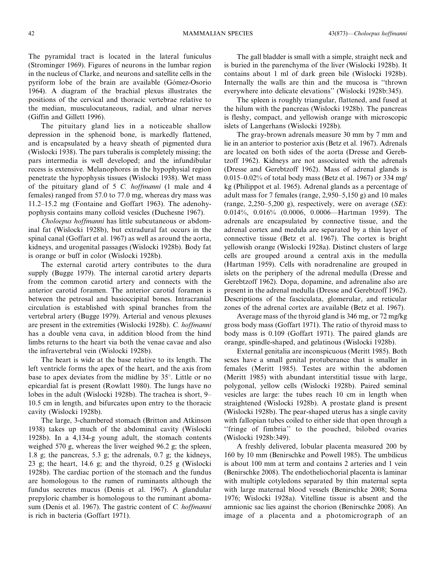The pyramidal tract is located in the lateral funiculus (Strominger 1969). Figures of neurons in the lumbar region in the nucleus of Clarke, and neurons and satellite cells in the pyriform lobe of the brain are available (Gómez-Osorio 1964). A diagram of the brachial plexus illustrates the positions of the cervical and thoracic vertebrae relative to the median, musculocutaneous, radial, and ulnar nerves (Giffin and Gillett 1996).

The pituitary gland lies in a noticeable shallow depression in the sphenoid bone, is markedly flattened, and is encapsulated by a heavy sheath of pigmented dura (Wislocki 1938). The pars tuberalis is completely missing; the pars intermedia is well developed; and the infundibular recess is extensive. Melanophores in the hypophysial region penetrate the hypophysis tissues (Wislocki 1938). Wet mass of the pituitary gland of 5 C. hoffmanni (1 male and 4 females) ranged from 57.0 to 77.0 mg, whereas dry mass was 11.2–15.2 mg (Fontaine and Goffart 1963). The adenohypophysis contains many colloid vesicles (Duchesne 1967).

Choloepus hoffmanni has little subcutaneous or abdominal fat (Wislocki 1928b), but extradural fat occurs in the spinal canal (Goffart et al. 1967) as well as around the aorta, kidneys, and urogenital passages (Wislocki 1928b). Body fat is orange or buff in color (Wislocki 1928b).

The external carotid artery contributes to the dura supply (Bugge 1979). The internal carotid artery departs from the common carotid artery and connects with the anterior carotid foramen. The anterior carotid foramen is between the petrosal and basioccipital bones. Intracranial circulation is established with spinal branches from the vertebral artery (Bugge 1979). Arterial and venous plexuses are present in the extremities (Wislocki 1928b). C. hoffmanni has a double vena cava, in addition blood from the hind limbs returns to the heart via both the venae cavae and also the infravertebral vein (Wislocki 1928b).

The heart is wide at the base relative to its length. The left ventricle forms the apex of the heart, and the axis from base to apex deviates from the midline by  $35^\circ$ . Little or no epicardial fat is present (Rowlatt 1980). The lungs have no lobes in the adult (Wislocki 1928b). The trachea is short, 9– 10.5 cm in length, and bifurcates upon entry to the thoracic cavity (Wislocki 1928b).

The large, 3-chambered stomach (Britton and Atkinson 1938) takes up much of the abdominal cavity (Wislocki 1928b). In a 4,134-g young adult, the stomach contents weighed 570 g, whereas the liver weighed 96.2 g; the spleen, 1.8 g; the pancreas, 5.3 g; the adrenals, 0.7 g; the kidneys, 23 g; the heart, 14.6 g; and the thyroid, 0.25 g (Wislocki 1928b). The cardiac portion of the stomach and the fundus are homologous to the rumen of ruminants although the fundus secretes mucus (Denis et al. 1967). A glandular prepyloric chamber is homologous to the ruminant abomasum (Denis et al. 1967). The gastric content of C. *hoffmanni* is rich in bacteria (Goffart 1971).

The gall bladder is small with a simple, straight neck and is buried in the parenchyma of the liver (Wislocki 1928b). It contains about 1 ml of dark green bile (Wislocki 1928b). Internally the walls are thin and the mucosa is ''thrown everywhere into delicate elevations'' (Wislocki 1928b:345).

The spleen is roughly triangular, flattened, and fused at the hilum with the pancreas (Wislocki 1928b). The pancreas is fleshy, compact, and yellowish orange with microscopic islets of Langerhans (Wislocki 1928b).

The gray-brown adrenals measure 30 mm by 7 mm and lie in an anterior to posterior axis (Betz et al. 1967). Adrenals are located on both sides of the aorta (Dresse and Gerebtzoff 1962). Kidneys are not associated with the adrenals (Dresse and Gerebtzoff 1962). Mass of adrenal glands is 0.015–0.02% of total body mass (Betz et al. 1967) or 334 mg/ kg (Philippot et al. 1965). Adrenal glands as a percentage of adult mass for 7 females (range, 2,950–5,150 g) and 10 males (range,  $2,250-5,200$  g), respectively, were on average (SE): 0.014%, 0.016% (0.0006, 0.0006—Hartman 1959). The adrenals are encapsulated by connective tissue, and the adrenal cortex and medula are separated by a thin layer of connective tissue (Betz et al. 1967). The cortex is bright yellowish orange (Wislocki 1928a). Distinct clusters of large cells are grouped around a central axis in the medulla (Hartman 1959). Cells with noradrenaline are grouped in islets on the periphery of the adrenal medulla (Dresse and Gerebtzoff 1962). Dopa, dopamine, and adrenaline also are present in the adrenal medulla (Dresse and Gerebtzoff 1962). Descriptions of the fasciculata, glomerular, and reticular zones of the adrenal cortex are available (Betz et al. 1967).

Average mass of the thyroid gland is 346 mg, or 72 mg/kg gross body mass (Goffart 1971). The ratio of thyroid mass to body mass is 0.109 (Goffart 1971). The paired glands are orange, spindle-shaped, and gelatinous (Wislocki 1928b).

External genitalia are inconspicuous (Meritt 1985). Both sexes have a small genital protuberance that is smaller in females (Meritt 1985). Testes are within the abdomen (Meritt 1985) with abundant interstitial tissue with large, polygonal, yellow cells (Wislocki 1928b). Paired seminal vesicles are large: the tubes reach 10 cm in length when straightened (Wislocki 1928b). A prostate gland is present (Wislocki 1928b). The pear-shaped uterus has a single cavity with fallopian tubes coiled to either side that open through a ''fringe of fimbria'' to the pouched, bilobed ovaries (Wislocki 1928b:349).

A freshly delivered, lobular placenta measured 200 by 160 by 10 mm (Benirschke and Powell 1985). The umbilicus is about 100 mm at term and contains 2 arteries and 1 vein (Benirschke 2008). The endotheliochorial placenta is laminar with multiple cotyledons separated by thin maternal septa with large maternal blood vessels (Benirschke 2008; Soma 1976; Wislocki 1928a). Vitelline tissue is absent and the amnionic sac lies against the chorion (Benirschke 2008). An image of a placenta and a photomicrograph of an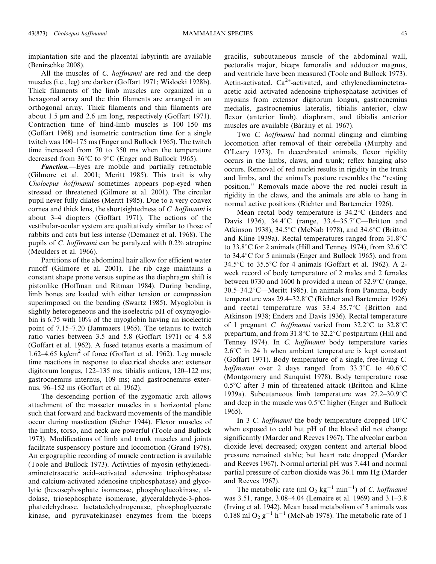implantation site and the placental labyrinth are available (Benirschke 2008).

All the muscles of *C. hoffmanni* are red and the deep muscles (i.e., leg) are darker (Goffart 1971; Wislocki 1928b). Thick filaments of the limb muscles are organized in a hexagonal array and the thin filaments are arranged in an orthogonal array. Thick filaments and thin filaments are about 1.5  $\mu$ m and 2.6  $\mu$ m long, respectively (Goffart 1971). Contraction time of hind-limb muscles is 100–150 ms (Goffart 1968) and isometric contraction time for a single twitch was 100–175 ms (Enger and Bullock 1965). The twitch time increased from 70 to 350 ms when the temperature decreased from  $36^{\circ}$ C to  $9^{\circ}$ C (Enger and Bullock 1965).

**Function.**—Eyes are mobile and partially retractable (Gilmore et al. 2001; Meritt 1985). This trait is why Choloepus hoffmanni sometimes appears pop-eyed when stressed or threatened (Gilmore et al. 2001). The circular pupil never fully dilates (Meritt 1985). Due to a very convex cornea and thick lens, the shortsightedness of C. hoffmanni is about 3–4 diopters (Goffart 1971). The actions of the vestibular-ocular system are qualitatively similar to those of rabbits and cats but less intense (Demanez et al. 1968). The pupils of C. hoffmanni can be paralyzed with 0.2% atropine (Meulders et al. 1966).

Partitions of the abdominal hair allow for efficient water runoff (Gilmore et al. 2001). The rib cage maintains a constant shape prone versus supine as the diaphragm shift is pistonlike (Hoffman and Ritman 1984). During bending, limb bones are loaded with either tension or compression superimposed on the bending (Swartz 1985). Myoglobin is slightly heterogeneous and the isoelectric pH of oxymyoglobin is 6.75 with 10% of the myoglobin having an isoelectric point of 7.15–7.20 (Jammaers 1965). The tetanus to twitch ratio varies between 3.5 and 5.8 (Goffart 1971) or 4–5.8 (Goffart et al. 1962). A fused tetanus exerts a maximum of 1.62–4.65 kg/cm<sup>2</sup> of force (Goffart et al. 1962). Leg muscle time reactions in response to electrical shocks are: extensor digitorum longus, 122–135 ms; tibialis anticus, 120–122 ms; gastrocnemius internus, 109 ms; and gastrocnemius externus, 96–152 ms (Goffart et al. 1962).

The descending portion of the zygomatic arch allows attachment of the masseter muscles in a horizontal plane such that forward and backward movements of the mandible occur during mastication (Sicher 1944). Flexor muscles of the limbs, torso, and neck are powerful (Toole and Bullock 1973). Modifications of limb and trunk muscles and joints facilitate suspensory posture and locomotion (Grand 1978). An ergographic recording of muscle contraction is available (Toole and Bullock 1973). Activities of myosin (ethylenediaminetetraacetic acid–activated adenosine triphosphatase and calcium-activated adenosine triphosphatase) and glycolytic (hexosephosphate isomerase, phosphoglucokinase, aldolase, triosephosphate isomerase, glyceraldehyde-3-phosphatedehydrase, lactatedehydrogenase, phosphoglycerate kinase, and pyruvatekinase) enzymes from the biceps gracilis, subcutaneous muscle of the abdominal wall, pectoralis major, biceps femoralis and adductor magnus, and ventricle have been measured (Toole and Bullock 1973). Actin-activated,  $Ca^{2+}$ -activated, and ethylenediaminetetraacetic acid–activated adenosine triphosphatase activities of myosins from extensor digitorum longus, gastrocnemius medialis, gastrocnemius lateralis, tibialis anterior, claw flexor (anterior limb), diaphram, and tibialis anterior muscles are available (Bárány et al. 1967).

Two *C. hoffmanni* had normal clinging and climbing locomotion after removal of their cerebella (Murphy and O'Leary 1973). In decerebrated animals, flexor rigidity occurs in the limbs, claws, and trunk; reflex hanging also occurs. Removal of red nuclei results in rigidity in the trunk and limbs, and the animal's posture resembles the ''resting position.'' Removals made above the red nuclei result in rigidity in the claws, and the animals are able to hang in normal active positions (Richter and Bartemeier 1926).

Mean rectal body temperature is  $34.2^{\circ}$ C (Enders and Davis 1936), 34.4 °C (range, 33.4–35.7 °C—Britton and Atkinson 1938), 34.5°C (McNab 1978), and 34.6°C (Britton and Kline 1939a). Rectal temperatures ranged from  $31.8^{\circ}$ C to 33.8°C for 2 animals (Hill and Tenney 1974), from  $32.6^{\circ}$ C to  $34.4^{\circ}$ C for 5 animals (Enger and Bullock 1965), and from  $34.5^{\circ}$ C to  $35.5^{\circ}$ C for 4 animals (Goffart et al. 1962). A 2week record of body temperature of 2 males and 2 females between 0730 and 1600 h provided a mean of  $32.9^{\circ}$ C (range,  $30.5-34.2^{\circ}$ C—Meritt 1985). In animals from Panama, body temperature was  $29.4-32.8$ °C (Richter and Bartemeier 1926) and rectal temperature was  $33.4-35.7^{\circ}C$  (Britton and Atkinson 1938; Enders and Davis 1936). Rectal temperature of 1 pregnant *C. hoffmanni* varied from  $32.2^{\circ}$ C to  $32.8^{\circ}$ C prepartum, and from  $31.8^{\circ}$ C to  $32.2^{\circ}$ C postpartum (Hill and Tenney 1974). In C. hoffmanni body temperature varies  $2.6^{\circ}$ C in 24 h when ambient temperature is kept constant (Goffart 1971). Body temperature of a single, free-living C. hoffmanni over 2 days ranged from  $33.3^{\circ}$ C to  $40.6^{\circ}$ C (Montgomery and Sunquist 1978). Body temperature rose  $0.5^{\circ}$ C after 3 min of threatened attack (Britton and Kline 1939a). Subcutaneous limb temperature was  $27.2-30.9^{\circ}$ C and deep in the muscle was  $0.5^{\circ}$ C higher (Enger and Bullock 1965).

In 3 C. *hoffmanni* the body temperature dropped  $10^{\circ}$ C when exposed to cold but pH of the blood did not change significantly (Marder and Reeves 1967). The alveolar carbon dioxide level decreased; oxygen content and arterial blood pressure remained stable; but heart rate dropped (Marder and Reeves 1967). Normal arterial pH was 7.441 and normal partial pressure of carbon dioxide was 36.1 mm Hg (Marder and Reeves 1967).

The metabolic rate (ml  $O_2$  kg<sup>-1</sup> min<sup>-1</sup>) of *C. hoffmanni* was 3.51, range, 3.08–4.04 (Lemaire et al. 1969) and 3.1–3.8 (Irving et al. 1942). Mean basal metabolism of 3 animals was 0.188 ml  $O_2 g^{-1} h^{-1}$  (McNab 1978). The metabolic rate of 1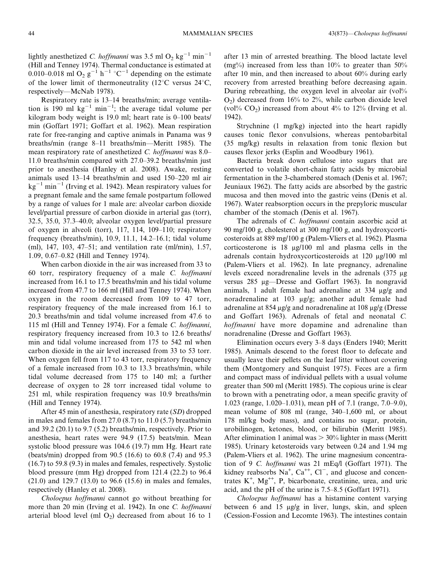lightly anesthetized *C. hoffmanni* was 3.5 ml  $O_2$  kg<sup>-1</sup> min<sup>-1</sup> (Hill and Tenney 1974). Thermal conductance is estimated at 0.010–0.018 ml O<sub>2</sub> g<sup>-1</sup> h<sup>-1</sup> °C<sup>-1</sup> depending on the estimate of the lower limit of thermoneutrality (12 $\degree$ C versus 24 $\degree$ C, respectively—McNab 1978).

Respiratory rate is 13–14 breaths/min; average ventilation is 190 ml  $kg^{-1}$  min<sup>-1</sup>; the average tidal volume per kilogram body weight is 19.0 ml; heart rate is 0–100 beats/ min (Goffart 1971; Goffart et al. 1962). Mean respiration rate for free-ranging and captive animals in Panama was 9 breaths/min (range 8–11 breaths/min—Meritt 1985). The mean respiratory rate of anesthetized C. hoffmanni was 8.0– 11.0 breaths/min compared with 27.0–39.2 breaths/min just prior to anesthesia (Hanley et al. 2008). Awake, resting animals used 13–14 breaths/min and used 150–220 ml air  $kg^{-1}$  min<sup>-1</sup> (Irving et al. 1942). Mean respiratory values for a pregnant female and the same female postpartum followed by a range of values for 1 male are: alveolar carbon dioxide level/partial pressure of carbon dioxide in arterial gas (torr), 32.5, 35.0, 37.3–40.0; alveolar oxygen level/partial pressure of oxygen in alveoli (torr), 117, 114, 109–110; respiratory frequency (breaths/min), 10.9, 11.1, 14.2–16.1; tidal volume (ml), 147, 103, 47–51; and ventilation rate (ml/min), 1.57, 1.09, 0.67–0.82 (Hill and Tenney 1974).

When carbon dioxide in the air was increased from 33 to 60 torr, respiratory frequency of a male C. hoffmanni increased from 16.1 to 17.5 breaths/min and his tidal volume increased from 47.7 to 166 ml (Hill and Tenney 1974). When oxygen in the room decreased from 109 to 47 torr, respiratory frequency of the male increased from 16.1 to 20.3 breaths/min and tidal volume increased from 47.6 to 115 ml (Hill and Tenney 1974). For a female C. hoffmanni, respiratory frequency increased from 10.3 to 12.6 breaths/ min and tidal volume increased from 175 to 542 ml when carbon dioxide in the air level increased from 33 to 53 torr. When oxygen fell from 117 to 43 torr, respiratory frequency of a female increased from 10.3 to 13.3 breaths/min, while tidal volume decreased from 175 to 140 ml; a further decrease of oxygen to 28 torr increased tidal volume to 251 ml, while respiration frequency was 10.9 breaths/min (Hill and Tenney 1974).

After 45 min of anesthesia, respiratory rate (SD) dropped in males and females from 27.0 (8.7) to 11.0 (5.7) breaths/min and 39.2 (20.1) to 9.7 (5.2) breaths/min, respectively. Prior to anesthesia, heart rates were 94.9 (17.5) beats/min. Mean systolic blood pressure was 104.6 (19.7) mm Hg. Heart rate (beats/min) dropped from 90.5 (16.6) to 60.8 (7.4) and 95.3 (16.7) to 59.8 (9.3) in males and females, respectively. Systolic blood pressure (mm Hg) dropped from 121.4 (22.2) to 96.4 (21.0) and 129.7 (13.0) to 96.6 (15.6) in males and females, respectively (Hanley et al. 2008).

Choloepus hoffmanni cannot go without breathing for more than 20 min (Irving et al. 1942). In one C. *hoffmanni* arterial blood level (ml  $O_2$ ) decreased from about 16 to 1

after 13 min of arrested breathing. The blood lactate level  $(mg\%)$  increased from less than 10% to greater than 50% after 10 min, and then increased to about 60% during early recovery from arrested breathing before decreasing again. During rebreathing, the oxygen level in alveolar air (vol%  $O_2$ ) decreased from 16% to 2%, while carbon dioxide level (vol%  $CO<sub>2</sub>$ ) increased from about 4% to 12% (Irving et al. 1942).

Strychnine (1 mg/kg) injected into the heart rapidly causes tonic flexor convulsions, whereas pentobarbital (35 mg/kg) results in relaxation from tonic flexion but causes flexor jerks (Esplin and Woodbury 1961).

Bacteria break down cellulose into sugars that are converted to volatile short-chain fatty acids by microbial fermentation in the 3-chambered stomach (Denis et al. 1967; Jeuniaux 1962). The fatty acids are absorbed by the gastric mucosa and then moved into the gastric veins (Denis et al. 1967). Water reabsorption occurs in the prepyloric muscular chamber of the stomach (Denis et al. 1967).

The adrenals of *C. hoffmanni* contain ascorbic acid at 90 mg/100 g, cholesterol at 300 mg/100 g, and hydroxycorticosteroids at 889 mg/100 g (Palem-Vliers et al. 1962). Plasma corticosterone is 18 mg/100 ml and plasma cells in the adrenals contain hydroxycorticosteroids at 120 µg/100 ml (Palem-Vliers et al. 1962). In late pregnancy, adrenaline levels exceed noradrenaline levels in the adrenals  $(375 \mu g)$ versus 285 µg-Dresse and Goffart 1963). In nongravid animals, 1 adult female had adrenaline at 334 µg/g and noradrenaline at 103 mg/g; another adult female had adrenaline at 854  $\mu$ g/g and noradrenaline at 108  $\mu$ g/g (Dresse and Goffart 1963). Adrenals of fetal and neonatal C. hoffmanni have more dopamine and adrenaline than noradrenaline (Dresse and Goffart 1963).

Elimination occurs every 3–8 days (Enders 1940; Meritt 1985). Animals descend to the forest floor to defecate and usually leave their pellets on the leaf litter without covering them (Montgomery and Sunquist 1975). Feces are a firm and compact mass of individual pellets with a usual volume greater than 500 ml (Meritt 1985). The copious urine is clear to brown with a penetrating odor, a mean specific gravity of 1.023 (range, 1.020–1.031), mean pH of 7.1 (range, 7.0–9.0), mean volume of 808 ml (range, 340–1,600 ml, or about 178 ml/kg body mass), and contains no sugar, protein, urobilinogen, ketones, blood, or bilirubin (Meritt 1985). After elimination 1 animal was  $> 30\%$  lighter in mass (Meritt 1985). Urinary ketosteroids vary between 0.24 and 1.94 mg (Palem-Vliers et al. 1962). The urine magnesium concentration of 9 C. hoffmanni was 21 mEq/l (Goffart 1971). The kidney reabsorbs  $Na^+$ ,  $Ca^{++}$ ,  $Cl^-$ , and glucose and concentrates  $K^+$ ,  $Mg^{++}$ , P, bicarbonate, creatinine, urea, and uric acid, and the pH of the urine is 7.5–8.5 (Goffart 1971).

Choloepus hoffmanni has a histamine content varying between 6 and 15  $\mu$ g/g in liver, lungs, skin, and spleen (Cession-Fossion and Lecomte 1963). The intestines contain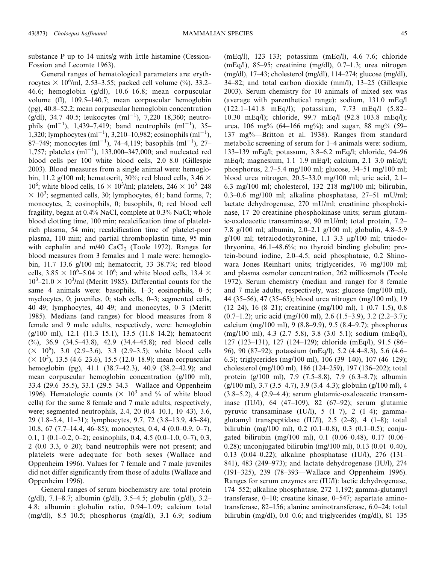substance P up to 14 units/g with little histamine (Cession-Fossion and Lecomte 1963).

General ranges of hematological parameters are: erythrocytes  $\times$  10<sup>6</sup>/ml, 2.53–3.55; packed cell volume (%), 33.2– 46.6; hemoglobin (g/dl), 10.6–16.8; mean corpuscular volume (fl), 109.5–140.7; mean corpuscular hemoglobin (pg), 40.8–52.2; mean corpuscular hemoglobin concentration (g/dl), 34.7-40.5; leukocytes  $(ml^{-1})$ , 7,220-18,360; neutrophils  $(ml^{-1})$ , 1,439–7,419; band neutrophils  $(ml^{-1})$ , 35– 1,320; lymphocytes  $(ml^{-1})$ , 3,210–10,982; eosinophils  $(ml^{-1})$ , 87–749; monocytes  $(ml^{-1})$ , 74–4,119; basophils  $(ml^{-1})$ , 27– 1,757; platelets  $(ml^{-1})$ , 133,000-347,000; and nucleated red blood cells per 100 white blood cells, 2.0–8.0 (Gillespie 2003). Blood measures from a single animal were: hemoglobin, 11.2 g/100 ml; hematocrit, 30%; red blood cells, 3.46  $\times$  $10^6$ ; white blood cells,  $16 \times 10^3$ /ml; platelets,  $246 \times 10^3$ –248  $\times$  10<sup>3</sup>; segmented cells, 30; lymphocytes, 61; band forms, 7; monocytes, 2; eosinophils, 0; basophils, 0; red blood cell fragility, began at 0.4% NaCl, complete at 0.3% NaCl; whole blood clotting time, 100 min; recalcification time of plateletrich plasma, 54 min; recalcification time of platelet-poor plasma, 110 min; and partial thromboplastin time, 95 min with cephalin and m/40  $CaCl<sub>2</sub>$  (Toole 1972). Ranges for blood measures from 3 females and 1 male were: hemoglobin, 11.7–13.6 g/100 ml; hematocrit, 33–38.7%; red blood cells, 3.85  $\times$  10<sup>6</sup>–5.04  $\times$  10<sup>6</sup>; and white blood cells, 13.4  $\times$  $10^3 - 21.0 \times 10^3$ /ml (Meritt 1985). Differential counts for the same 4 animals were: basophils, 1–3; eosinophils, 0–5; myelocytes, 0; juveniles, 0; stab cells, 0–3; segmented cells, 40–49; lymphocytes, 40–49; and monocytes, 0–3 (Meritt 1985). Medians (and ranges) for blood measures from 8 female and 9 male adults, respectively, were: hemoglobin (g/100 ml), 12.1 (11.3–15.1), 13.5 (11.8–14.2); hematocrit (%), 36.9 (34.5–43.8), 42.9 (34.4–45.8); red blood cells  $(X \t10^6)$ , 3.0  $(2.9-3.6)$ , 3.3  $(2.9-3.5)$ ; white blood cells  $(\times 10^3)$ , 13.5 (4.6–23.6), 15.5 (12.0–18.9); mean corpuscular hemoglobin (pg), 41.1 (38.7–42.3), 40.9 (38.2–42.9); and mean corpuscular hemoglobin concentration (g/100 ml), 33.4 (29.6–35.5), 33.1 (29.5–34.3—Wallace and Oppenheim 1996). Hematologic counts ( $\times$  10<sup>3</sup> and % of white blood cells) for the same 8 female and 7 male adults, respectively, were; segmented neutrophils, 2.4, 20 (0.4–10.1, 10–43), 3.6, 29 (1.8–5.4, 11–31); lymphocytes, 9.7, 72 (3.8–13.9, 45–84), 10.8, 67 (7.7–14.4, 46–85); monocytes, 0.4, 4 (0.0–0.9, 0–7), 0.1, 1 (0.1–0.2, 0–2); eosinophils, 0.4, 4.5 (0.0–1.0, 0–7), 0.3, 2 (0.0–3.3, 0–20); band neutrophils were not present; and platelets were adequate for both sexes (Wallace and Oppenheim 1996). Values for 7 female and 7 male juveniles did not differ significantly from those of adults (Wallace and Oppenheim 1996).

General ranges of serum biochemistry are: total protein (g/dl), 7.1–8.7; albumin (g/dl), 3.5–4.5; globulin (g/dl), 3.2– 4.8; albumin : globulin ratio, 0.94–1.09; calcium total (mg/dl), 8.5–10.5; phosphorus (mg/dl), 3.1–6.9; sodium (mEq/l), 123–133; potassium (mEq/l), 4.6–7.6; chloride (mEq/l), 85–95; creatinine (mg/dl), 0.7–1.3; urea nitrogen (mg/dl), 17–43; cholesterol (mg/dl), 114–274; glucose (mg/dl), 34–82; and total carbon dioxide (mm/l), 13–25 (Gillespie 2003). Serum chemistry for 10 animals of mixed sex was (average with parenthetical range): sodium, 131.0 mEq/l (122.1–141.8 mEq/l); potassium, 7.73 mEq/l (5.82– 10.30 mEq/l); chloride, 99.7 mEq/l (92.8–103.8 mEq/l); urea, 106 mg% (64–166 mg%); and sugar, 88 mg% (59– 137 mg%—Britton et al. 1938). Ranges from standard metabolic screening of serum for 1–4 animals were: sodium, 133–139 mEq/l; potassum, 3.8–6.2 mEq/l; chloride, 94–96 mEq/l; magnesium, 1.1–1.9 mEq/l; calcium, 2.1–3.0 mEq/l; phosphorus, 2.7–5.4 mg/100 ml; glucose, 34–51 mg/100 ml; blood urea nitrogen, 20.5–33.0 mg/100 ml; uric acid, 2.1– 6.3 mg/100 ml; cholesterol, 132–218 mg/100 ml; bilirubin, 0.3–0.6 mg/100 ml; alkaline phosphatase, 27–51 mU/ml; lactate dehydrogenase, 270 mU/ml; creatinine phosphokinase, 17–20 creatinine phosphokinase units; serum glutamic-oxaloacetic transaminase, 90 mU/ml; total protein, 7.2– 7.8 g/100 ml; albumin, 2.0–2.1 g/100 ml; globulin, 4.8–5.9 g/100 ml; tetraiodothyronine,  $1.1-3.3 \mu$ g/100 ml; triiodothryonine, 46.1–48.6%; no thyroid binding globulin; protein-bound iodine, 2.0–4.5; acid phosphatase, 0.2 Shinowara–Jones–Reinhart units; triglycerides, 76 mg/100 ml; and plasma osmolar concentration, 262 milliosmols (Toole 1972). Serum chemistry (median and range) for 8 female and 7 male adults, respectively, was: glucose (mg/100 ml), 44 (35–56), 47 (35–65); blood urea nitrogen (mg/100 ml), 19 (12–24), 16 (8–21); creatinine (mg/100 ml), 1 (0.7–1.5), 0.8 (0.7–1.2); uric acid (mg/100 ml), 2.6 (1.5–3.9), 3.2 (2.2–3.7); calcium (mg/100 ml), 9 (8.8–9.9), 9.5 (8.4–9.7); phosphorus (mg/100 ml), 4.3 (2.7–5.8), 3.8 (3.0–5.1); sodium (mEq/l), 127 (123–131), 127 (124–129); chloride (mEq/l), 91.5 (86– 96), 90 (87–92); potassium (mEq/l), 5.2 (4.4–8.3), 5.6 (4.6– 6.3); triglycerides (mg/100 ml), 106 (39–140), 107 (46–129); cholesterol (mg/100 ml), 186 (124–259), 197 (136–202); total protein (g/100 ml), 7.9 (7.5–8.8), 7.9 (6.3–8.7); albumin (g/100 ml), 3.7 (3.5–4.7), 3.9 (3.4–4.3); globulin (g/100 ml), 4 (3.8–5.2), 4 (2.9–4.4); serum glutamic-oxaloacetic transaminase (IU/l), 64 (47–109), 82 (67–92); serum glutamic pyruvic transaminase (IU/l), 5 (1–7), 2 (1–4); gammaglutamyl transpeptidase (IU/l), 2.5 (2–8), 4 (1–8); total bilirubin (mg/100 ml), 0.2 (0.1–0.8), 0.3 (0.1–0.5); conjugated bilirubin (mg/100 ml), 0.1 (0.06–0.48), 0.17 (0.06– 0.28); unconjugated bilirubin (mg/100 ml), 0.13 (0.01–0.40), 0.13 (0.04–0.22); alkaline phosphatase (IU/l), 276 (131– 841), 483 (249–973); and lactate dehydrogenase (IU/l), 274 (191–325), 239 (78–393—Wallace and Oppenheim 1996). Ranges for serum enzymes are (IU/l): lactic dehydrogenase, 174–552; alkaline phosphatase, 272–1,192; gamma-glutamyl transferase, 0–10; creatine kinase, 0–547; aspartate aminotransferase, 82–156; alanine aminotransferase, 6.0–24; total bilirubin (mg/dl), 0.0–0.6; and triglycerides (mg/dl), 81–135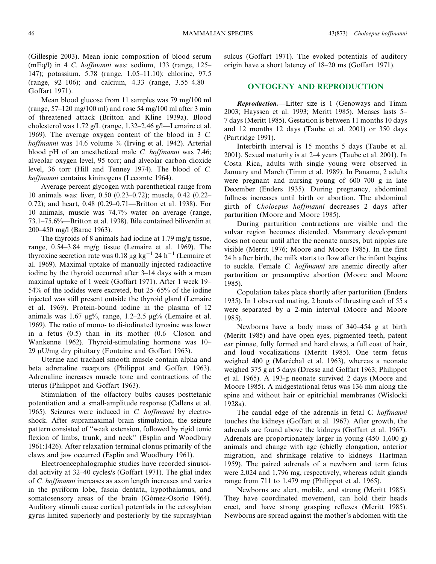(Gillespie 2003). Mean ionic composition of blood serum (mEq/l) in 4 C. hoffmanni was: sodium, 133 (range, 125– 147); potassium, 5.78 (range, 1.05–11.10); chlorine, 97.5 (range, 92–106); and calcium, 4.33 (range, 3.55–4.80— Goffart 1971).

Mean blood glucose from 11 samples was 79 mg/100 ml (range, 57–120 mg/100 ml) and rose 54 mg/100 ml after 3 min of threatened attack (Britton and Kline 1939a). Blood cholesterol was 1.72 g/L (range, 1.32–2.46 g/l—Lemaire et al. 1969). The average oxygen content of the blood in 3 C. hoffmanni was 14.6 volume % (Irving et al. 1942). Arterial blood pH of an anesthetized male C. *hoffmanni* was 7.46; alveolar oxygen level, 95 torr; and alveolar carbon dioxide level, 36 torr (Hill and Tenney 1974). The blood of C. hoffmanni contains kininogens (Lecomte 1964).

Average percent glycogen with parenthetical range from 10 animals was: liver, 0.50 (0.23–0.72); muscle, 0.42 (0.22– 0.72); and heart, 0.48 (0.29–0.71—Britton et al. 1938). For 10 animals, muscle was 74.7% water on average (range, 73.1–75.6%—Britton et al. 1938). Bile contained biliverdin at 200–450 mg/l (Barac 1963).

The thyroids of 8 animals had iodine at 1.79 mg/g tissue, range, 0.54–3.84 mg/g tissue (Lemaire et al. 1969). The thyroxine secretion rate was 0.18  $\mu$ g kg<sup>-1</sup> 24 h<sup>-1</sup> (Lemaire et al. 1969). Maximal uptake of manually injected radioactive iodine by the thyroid occurred after 3–14 days with a mean maximal uptake of 1 week (Goffart 1971). After 1 week 19– 54% of the iodides were excreted, but 25–65% of the iodine injected was still present outside the thyroid gland (Lemaire et al. 1969). Protein-bound iodine in the plasma of 12 animals was 1.67  $\mu$ g%, range, 1.2–2.5  $\mu$ g% (Lemaire et al. 1969). The ratio of mono- to di-iodinated tyrosine was lower in a fetus (0.5) than in its mother (0.6—Closon and Wankenne 1962). Thyroid-stimulating hormone was 10–  $29 \mu U/mg$  dry pituitary (Fontaine and Goffart 1963).

Uterine and trachael smooth muscle contain alpha and beta adrenaline receptors (Philippot and Goffart 1963). Adrenaline increases muscle tone and contractions of the uterus (Philippot and Goffart 1963).

Stimulation of the olfactory bulbs causes posttetanic potentiation and a small-amplitude response (Callens et al. 1965). Seizures were induced in C. hoffmanni by electroshock. After supramaximal brain stimulation, the seizure pattern consisted of ''weak extension, followed by rigid tonic flexion of limbs, trunk, and neck'' (Esplin and Woodbury 1961:1426). After relaxation terminal clonus primarily of the claws and jaw occurred (Esplin and Woodbury 1961).

Electroencephalographic studies have recorded sinusoidal activity at 32–40 cycles/s (Goffart 1971). The glial index of C. hoffmanni increases as axon length increases and varies in the pyriform lobe, fascia dentata, hypothalamus, and somatosensory areas of the brain (Gómez-Osorio 1964). Auditory stimuli cause cortical potentials in the ectosylvian gyrus limited superiorly and posteriorly by the suprasylvian sulcus (Goffart 1971). The evoked potentials of auditory origin have a short latency of 18–20 ms (Goffart 1971).

#### ONTOGENY AND REPRODUCTION

Reproduction.—Litter size is 1 (Genoways and Timm 2003; Hayssen et al. 1993; Meritt 1985). Menses lasts 5– 7 days (Meritt 1985). Gestation is between 11 months 10 days and 12 months 12 days (Taube et al. 2001) or 350 days (Partridge 1991).

Interbirth interval is 15 months 5 days (Taube et al. 2001). Sexual maturity is at 2–4 years (Taube et al. 2001). In Costa Rica, adults with single young were observed in January and March (Timm et al. 1989). In Panama, 2 adults were pregnant and nursing young of 600–700 g in late December (Enders 1935). During pregnancy, abdominal fullness increases until birth or abortion. The abdominal girth of Choloepus hoffmanni decreases 2 days after parturition (Moore and Moore 1985).

During parturition contractions are visible and the vulvar region becomes distended. Mammary development does not occur until after the neonate nurses, but nipples are visible (Merrit 1976; Moore and Moore 1985). In the first 24 h after birth, the milk starts to flow after the infant begins to suckle. Female C. hoffmanni are anemic directly after parturition or presumptive abortion (Moore and Moore 1985).

Copulation takes place shortly after parturition (Enders 1935). In 1 observed mating, 2 bouts of thrusting each of 55 s were separated by a 2-min interval (Moore and Moore 1985).

Newborns have a body mass of 340–454 g at birth (Meritt 1985) and have open eyes, pigmented teeth, patent ear pinnae, fully formed and hard claws, a full coat of hair, and loud vocalizations (Meritt 1985). One term fetus weighed 400 g (Maréchal et al. 1963), whereas a neonate weighed 375 g at 5 days (Dresse and Goffart 1963; Philippot et al. 1965). A 193-g neonate survived 2 days (Moore and Moore 1985). A midgestational fetus was 136 mm along the spine and without hair or epitrichial membranes (Wislocki 1928a).

The caudal edge of the adrenals in fetal C. *hoffmanni* touches the kidneys (Goffart et al. 1967). After growth, the adrenals are found above the kidneys (Goffart et al. 1967). Adrenals are proportionately larger in young (450–1,600 g) animals and change with age (chiefly elongation, anterior migration, and shrinkage relative to kidneys—Hartman 1959). The paired adrenals of a newborn and term fetus were 2,024 and 1,796 mg, respectively, whereas adult glands range from 711 to 1,479 mg (Philippot et al. 1965).

Newborns are alert, mobile, and strong (Meritt 1985). They have coordinated movement, can hold their heads erect, and have strong grasping reflexes (Meritt 1985). Newborns are spread against the mother's abdomen with the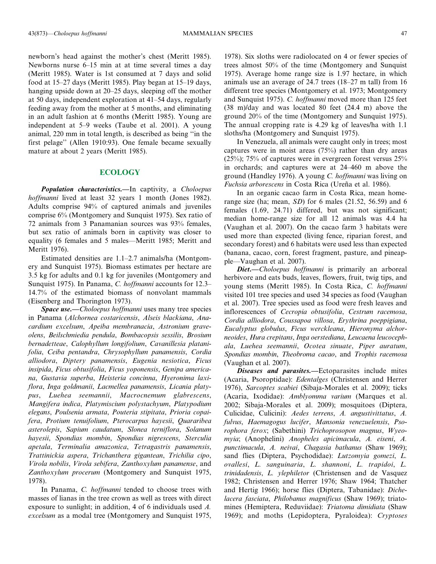newborn's head against the mother's chest (Meritt 1985). Newborns nurse 6–15 min at at time several times a day (Meritt 1985). Water is 1st consumed at 7 days and solid food at 15–27 days (Meritt 1985). Play began at 15–19 days, hanging upside down at 20–25 days, sleeping off the mother at 50 days, independent exploration at 41–54 days, regularly feeding away from the mother at 5 months, and eliminating in an adult fashion at 6 months (Meritt 1985). Young are independent at 5–9 weeks (Taube et al. 2001). A young animal, 220 mm in total length, is described as being ''in the first pelage'' (Allen 1910:93). One female became sexually mature at about 2 years (Meritt 1985).

#### **ECOLOGY**

**Population characteristics.—In captivity, a Choloepus** hoffmanni lived at least 32 years 1 month (Jones 1982). Adults comprise 94% of captured animals and juveniles comprise 6% (Montgomery and Sunquist 1975). Sex ratio of 72 animals from 3 Panamanian sources was 93% females, but sex ratio of animals born in captivity was closer to equality (6 females and 5 males—Meritt 1985; Meritt and Meritt 1976).

Estimated densities are 1.1–2.7 animals/ha (Montgomery and Sunquist 1975). Biomass estimates per hectare are 3.5 kg for adults and 0.1 kg for juveniles (Montgomery and Sunquist 1975). In Panama, C. *hoffmanni* accounts for 12.3– 14.7% of the estimated biomass of nonvolant mammals (Eisenberg and Thorington 1973).

Space use.—Choloepus hoffmanni uses many tree species in Panama (Alchornea costaricensis, Alseis blackiana, Anacardium excelsum, Apeiba membranacia, Astronium graveolens, Beilschmiedia pendula, Bombacopsis sessilis, Brosium bernadetteae, Calophyllum longifolium, Cavanillesia platanifolia, Ceiba pentandra, Chrysophyllum panamensis, Cordia alliodora, Diptery panamensis, Eugenia nesiotica, Ficus insipida, Ficus obtusifolia, Ficus yoponensis, Genipa americana, Gustavia superba, Heisteria concinna, Hyeronima laxiflora, Inga goldmanii, Lacmellea panamensis, Licania platypus, Luehea seemannii, Macrocnemum glabrescens, Mangifera indica, Platymiscium polystachyum, Platypodium elegans, Poulsenia armata, Pouteria stipitata, Prioria copaifera, Protium tenuifolium, Pterocarpus hayesii, Quararibea asterolepis, Sapium caudatum, Slonea terniflora, Solanum hayesii, Spondias mombin, Spondias nigrescens, Sterculia apetala, Terminalia amazonica, Tetragastris panamensis, Trattinickia aspera, Trichanthera gigantean, Trichilia cipo, Virola nobilis, Virola sebifera, Zanthoxylum panamense, and Zanthoxylum procerum (Montgomery and Sunquist 1975, 1978).

In Panama, C. hoffmanni tended to choose trees with masses of lianas in the tree crown as well as trees with direct exposure to sunlight; in addition, 4 of 6 individuals used A. excelsum as a modal tree (Montgomery and Sunquist 1975, 1978). Six sloths were radiolocated on 4 or fewer species of trees almost 50% of the time (Montgomery and Sunquist 1975). Average home range size is 1.97 hectare, in which animals use an average of 24.7 trees (18–27 m tall) from 16 different tree species (Montgomery et al. 1973; Montgomery and Sunquist 1975). C. hoffmanni moved more than 125 feet (38 m)/day and was located 80 feet (24.4 m) above the ground 20% of the time (Montgomery and Sunquist 1975). The annual cropping rate is 4.29 kg of leaves/ha with 1.1 sloths/ha (Montgomery and Sunquist 1975).

In Venezuela, all animals were caught only in trees; most captures were in moist areas (75%) rather than dry areas (25%); 75% of captures were in evergreen forest versus 25% in orchards; and captures were at 24–460 m above the ground (Handley 1976). A young C. hoffmanni was living on Fuchsia arborescens in Costa Rica (Ureña et al. 1986).

In an organic cacao farm in Costa Rica, mean homerange size (ha; mean, SD) for 6 males (21.52, 56.59) and 6 females (1.69, 24.71) differed, but was not significant; median home-range size for all 12 animals was 4.4 ha (Vaughan et al. 2007). On the cacao farm 3 habitats were used more than expected (living fence, riparian forest, and secondary forest) and 6 habitats were used less than expected (banana, cacao, corn, forest fragment, pasture, and pineapple—Vaughan et al. 2007).

Diet.-Choloepus hoffmanni is primarily an arboreal herbivore and eats buds, leaves, flowers, fruit, twig tips, and young stems (Meritt 1985). In Costa Rica, C. hoffmanni visited 101 tree species and used 34 species as food (Vaughan et al. 2007). Tree species used as food were fresh leaves and inflorescences of Cecropia obtusifolia, Cestrum racemosa, Cordia alliodora, Coussapoa villosa, Erythrina poeppigiana, Eucalyptus globulus, Ficus werckleana, Hieronyma alchorneoides, Hura crepitans, Inga oerstediana, Leucaena leucocephala, Luehea seemannii, Ocotea sinuate, Piper auratum, Spondias mombin, Theobroma cacao, and Trophis racemosa (Vaughan et al. 2007).

Diseases and parasites.—Ectoparasites include mites (Acaria, Psoroptidae): Edentalges (Christensen and Herrer 1976), Sarcoptes scabiei (Sibaja-Morales et al. 2009); ticks (Acaria, Ixodidae): Amblyomma varium (Marques et al. 2002; Sibaja-Morales et al. 2009); mosquitoes (Diptera, Culicidae, Culicini): Aedes terrens, A. angustivittatus, A. fulvus, Haemagogus lucifer, Mansonia venezuelensis, Psorophora ferox; (Sabethini) Trichoprosopon magnus, Wyeomyia; (Anophelini) Anopheles apicimacula, A. eiseni, A. punctimacula, A. neivai, Chagasia bathanus (Shaw 1969); sand flies (Diptera, Psychodidae): Lutzomyia gomezi, L. ovallesi, L. sanguinaria, L. shannoni, L. trapidoi, L. trinidadensis, L. ylephiletor (Christensen and de Vasquez 1982; Christensen and Herrer 1976; Shaw 1964; Thatcher and Hertig 1966); horse flies (Diptera, Tabanidae): Dichelacera fasciata, Philobanus magnificus (Shaw 1969); triatomines (Hemiptera, Reduviidae): Triatoma dimidiata (Shaw 1969); and moths (Lepidoptera, Pyraloidea): Cryptoses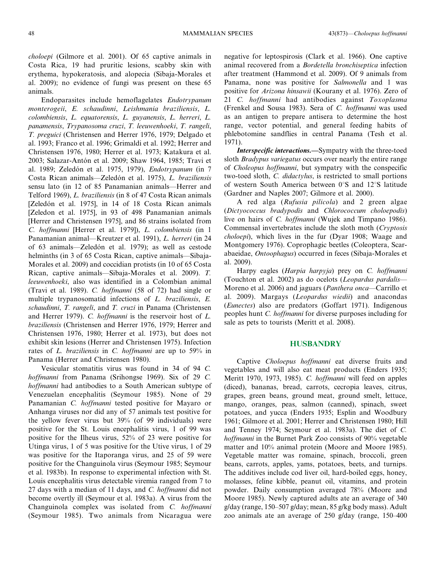choloepi (Gilmore et al. 2001). Of 65 captive animals in Costa Rica, 19 had pruritic lesions, scabby skin with erythema, hypokeratosis, and alopecia (Sibaja-Morales et al. 2009); no evidence of fungi was present on these 65 animals.

Endoparasites include hemoflagelates Endotrypanum monterogeii, E. schaudinni, Leishmania braziliensis, L. colombiensis, L. equatorensis, L. guyanensis, L. herreri, L. panamensis, Trypanosoma cruzi, T. leeuwenhoeki, T. rangeli, T. preguici (Christensen and Herrer 1976, 1979; Delgado et al. 1993; Franco et al. 1996; Grimaldi et al. 1992; Herrer and Christensen 1976, 1980; Herrer et al. 1973; Katakura et al. 2003; Salazar-Antón et al. 2009; Shaw 1964, 1985; Travi et al. 1989; Zeledón et al. 1975, 1979), Endotrypanum (in 7 Costa Rican animals—Zeledón et al. 1975), L. braziliensis sensu lato (in 12 of 85 Panamanian animals—Herrer and Telford 1969), L. braziliensis (in 8 of 47 Costa Rican animals [Zeledón et al. 1975], in 14 of 18 Costa Rican animals [Zeledon et al. 1975], in 93 of 498 Panamanian animals [Herrer and Christensen 1975], and 86 strains isolated from C. hoffmanni [Herrer et al. 1979]), L. colombiensis (in 1 Panamanian animal—Kreutzer et al. 1991), L. herreri (in 24 of 63 animals—Zeledón et al. 1979); as well as cestode helminths (in 3 of 65 Costa Rican, captive animals—Sibaja-Morales et al. 2009) and coccidian protists (in 10 of 65 Costa Rican, captive animals—Sibaja-Morales et al. 2009). T. leeuwenhoeki, also was identified in a Colombian animal (Travi et al. 1989). C. hoffmanni (58 of 72) had single or multiple trypanosomatid infections of L. braziliensis, E. schaudinni, T. rangeli, and T. cruzi in Panama (Christensen and Herrer 1979). C. hoffmanni is the reservoir host of L. braziliensis (Christensen and Herrer 1976, 1979; Herrer and Christensen 1976, 1980; Herrer et al. 1973), but does not exhibit skin lesions (Herrer and Christensen 1975). Infection rates of L. braziliensis in C. hoffmanni are up to 59% in Panama (Herrer and Christensen 1980).

Vesicular stomatitis virus was found in 34 of 94 C. hoffmanni from Panama (Srihongse 1969). Six of 29 C. hoffmanni had antibodies to a South American subtype of Venezuelan encephalitis (Seymour 1985). None of 29 Panamanian C. hoffmanni tested positive for Mayaro or Anhanga viruses nor did any of 57 animals test positive for the yellow fever virus but 39% (of 99 individuals) were positive for the St. Louis encephalitis virus, 1 of 99 was positive for the Ilheus virus, 52% of 23 were positive for Utinga virus, 1 of 5 was positive for the Utive virus, 1 of 29 was positive for the Itaporanga virus, and 25 of 59 were positive for the Changuinola virus (Seymour 1985; Seymour et al. 1983b). In response to experimental infection with St. Louis encephalitis virus detectable viremia ranged from 7 to 27 days with a median of 11 days, and C. hoffmanni did not become overtly ill (Seymour et al. 1983a). A virus from the Changuinola complex was isolated from C. hoffmanni (Seymour 1985). Two animals from Nicaragua were negative for leptospirosis (Clark et al. 1966). One captive animal recovered from a Bordetella bronchiseptica infection after treatment (Hammond et al. 2009). Of 9 animals from Panama, none was positive for Salmonella and 1 was positive for Arizona hinsawii (Kourany et al. 1976). Zero of 21 C. hoffmanni had antibodies against Toxoplasma (Frenkel and Sousa 1983). Sera of C. hoffmanni was used as an antigen to prepare antisera to determine the host range, vector potential, and general feeding habits of phlebotomine sandflies in central Panama (Tesh et al. 1971).

Interspecific interactions.—Sympatry with the three-toed sloth *Bradypus variegatus* occurs over nearly the entire range of Choleopus hoffmanni, but sympatry with the conspecific two-toed sloth, C. didactylus, is restricted to small portions of western South America between  $0^{\circ}$ S and  $12^{\circ}$ S latitude (Gardner and Naples 2007; Gilmore et al. 2000).

A red alga (Rufusia pilicola) and 2 green algae (Dictyococcus bradypodis and Chlorococcum choloepodis) live on hairs of *C. hoffmanni* (Wujek and Timpano 1986). Commensal invertebrates include the sloth moth (Cryptosis choloepi), which lives in the fur (Dyar 1908; Waage and Montgomery 1976). Coprophagic beetles (Coleoptera, Scarabaeidae, Ontoophagus) occurred in feces (Sibaja-Morales et al. 2009).

Harpy eagles (Harpia harpyja) prey on C. hoffmanni (Touchton et al. 2002) as do ocelots (Leopardus pardalis— Moreno et al. 2006) and jaguars (Panthera onca—Carrillo et al. 2009). Margays (Leopardus wiedii) and anacondas (Eunectes) also are predators (Goffart 1971). Indigenous peoples hunt C. hoffmanni for diverse purposes including for sale as pets to tourists (Meritt et al. 2008).

#### **HUSBANDRY**

Captive Choloepus hoffmanni eat diverse fruits and vegetables and will also eat meat products (Enders 1935; Meritt 1970, 1973, 1985). C. hoffmanni will feed on apples (diced), bananas, bread, carrots, cecropia leaves, citrus, grapes, green beans, ground meat, ground smelt, lettuce, mango, oranges, peas, salmon (canned), spinach, sweet potatoes, and yucca (Enders 1935; Esplin and Woodbury 1961; Gilmore et al. 2001; Herrer and Christensen 1980; Hill and Tenney 1974; Seymour et al. 1983a). The diet of C. hoffmanni in the Burnet Park Zoo consists of 90% vegetable matter and 10% animal protein (Moore and Moore 1985). Vegetable matter was romaine, spinach, broccoli, green beans, carrots, apples, yams, potatoes, beets, and turnips. The additives include cod liver oil, hard-boiled eggs, honey, molasses, feline kibble, peanut oil, vitamins, and protein powder. Daily consumption averaged 78% (Moore and Moore 1985). Newly captured adults ate an average of 340 g/day (range, 150–507 g/day; mean, 85 g/kg body mass). Adult zoo animals ate an average of 250 g/day (range, 150–400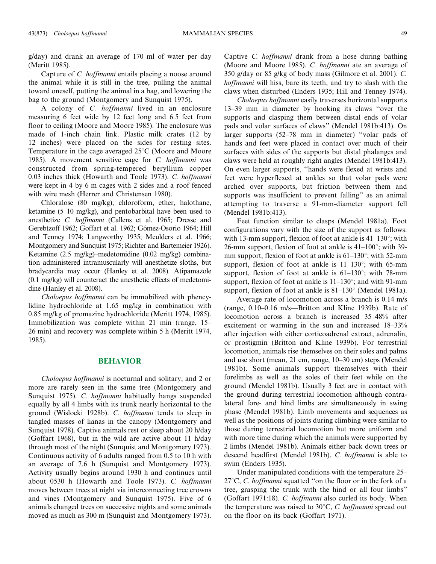g/day) and drank an average of 170 ml of water per day (Meritt 1985).

Capture of C. hoffmanni entails placing a noose around the animal while it is still in the tree, pulling the animal toward oneself, putting the animal in a bag, and lowering the bag to the ground (Montgomery and Sunquist 1975).

A colony of C. hoffmanni lived in an enclosure measuring 6 feet wide by 12 feet long and 6.5 feet from floor to ceiling (Moore and Moore 1985). The enclosure was made of 1-inch chain link. Plastic milk crates (12 by 12 inches) were placed on the sides for resting sites. Temperature in the cage averaged  $25^{\circ}$ C (Moore and Moore 1985). A movement sensitive cage for C. hoffmanni was constructed from spring-tempered beryllium copper 0.03 inches thick (Howarth and Toole 1973). C. hoffmanni were kept in 4 by 6 m cages with 2 sides and a roof fenced with wire mesh (Herrer and Christensen 1980).

Chloralose (80 mg/kg), chloroform, ether, halothane, ketamine (5–10 mg/kg), and pentobarbital have been used to anesthetize C. hoffmanni (Callens et al. 1965; Dresse and Gerebtzoff 1962; Goffart et al. 1962; Gómez-Osorio 1964; Hill and Tenney 1974; Langworthy 1935; Meulders et al. 1966; Montgomery and Sunquist 1975; Richter and Bartemeier 1926). Ketamine (2.5 mg/kg)–medetomidine (0.02 mg/kg) combination administered intramuscularly will anesthetize sloths, but bradycardia may occur (Hanley et al. 2008). Atipamazole (0.1 mg/kg) will counteract the anesthetic effects of medetomidine (Hanley et al. 2008).

Choloepus hoffmanni can be immobilized with phencylidine hydrochloride at 1.65 mg/kg in combination with 0.85 mg/kg of promazine hydrochloride (Meritt 1974, 1985). Immobilization was complete within 21 min (range, 15– 26 min) and recovery was complete within 5 h (Meritt 1974, 1985).

#### BEHAVIOR

Choloepus hoffmanni is nocturnal and solitary, and 2 or more are rarely seen in the same tree (Montgomery and Sunquist 1975). C. *hoffmanni* habitually hangs suspended equally by all 4 limbs with its trunk nearly horizontal to the ground (Wislocki 1928b). C. hoffmanni tends to sleep in tangled masses of lianas in the canopy (Montgomery and Sunquist 1978). Captive animals rest or sleep about 20 h/day (Goffart 1968), but in the wild are active about 11 h/day through most of the night (Sunquist and Montgomery 1973). Continuous activity of 6 adults ranged from 0.5 to 10 h with an average of 7.6 h (Sunquist and Montgomery 1973). Activity usually begins around 1930 h and continues until about 0530 h (Howarth and Toole 1973). C. hoffmanni moves between trees at night via interconnecting tree crowns and vines (Montgomery and Sunquist 1975). Five of 6 animals changed trees on successive nights and some animals moved as much as 300 m (Sunquist and Montgomery 1973). Captive C. hoffmanni drank from a hose during bathing (Moore and Moore 1985). C. hoffmanni ate an average of 350 g/day or 85 g/kg of body mass (Gilmore et al. 2001). C. hoffmanni will hiss, bare its teeth, and try to slash with the claws when disturbed (Enders 1935; Hill and Tenney 1974).

Choloepus hoffmanni easily traverses horizontal supports 13–39 mm in diameter by hooking its claws ''over the supports and clasping them between distal ends of volar pads and volar surfaces of claws'' (Mendel 1981b:413). On larger supports (52–78 mm in diameter) ''volar pads of hands and feet were placed in contact over much of their surfaces with sides of the supports but distal phalanges and claws were held at roughly right angles (Mendel 1981b:413). On even larger supports, ''hands were flexed at wrists and feet were hyperflexed at ankles so that volar pads were arched over supports, but friction between them and supports was insufficient to prevent falling'' as an animal attempting to traverse a 91-mm-diameter support fell (Mendel 1981b:413).

Feet function similar to clasps (Mendel 1981a). Foot configurations vary with the size of the support as follows: with 13-mm support, flexion of foot at ankle is  $41-130^{\circ}$ ; with 26-mm support, flexion of foot at ankle is  $41-100^{\circ}$ ; with 39mm support, flexion of foot at ankle is  $61-130^{\circ}$ ; with 52-mm support, flexion of foot at ankle is  $11-130^{\circ}$ ; with 65-mm support, flexion of foot at ankle is  $61-130^{\circ}$ ; with 78-mm support, flexion of foot at ankle is  $11-130^\circ$ ; and with 91-mm support, flexion of foot at ankle is  $81-130^\circ$  (Mendel 1981a).

Average rate of locomotion across a branch is 0.14 m/s (range, 0.10–0.16 m/s—Britton and Kline 1939b). Rate of locomotion across a branch is increased 35–48% after excitement or warming in the sun and increased 18–33% after injection with either corticoadrenal extract, adrenalin, or prostigmin (Britton and Kline 1939b). For terrestrial locomotion, animals rise themselves on their soles and palms and use short (mean, 21 cm, range, 10–30 cm) steps (Mendel 1981b). Some animals support themselves with their forelimbs as well as the soles of their feet while on the ground (Mendel 1981b). Usually 3 feet are in contact with the ground during terrestrial locomotion although contralateral fore- and hind limbs are simultaneously in swing phase (Mendel 1981b). Limb movements and sequences as well as the positions of joints during climbing were similar to those during terrestrial locomotion but more uniform and with more time during which the animals were supported by 2 limbs (Mendel 1981b). Animals either back down trees or descend headfirst (Mendel 1981b). C. hoffmanni is able to swim (Enders 1935).

Under manipulated conditions with the temperature 25–  $27^{\circ}$ C, C. *hoffmanni* squatted "on the floor or in the fork of a tree, grasping the trunk with the hind or all four limbs'' (Goffart 1971:18). C. hoffmanni also curled its body. When the temperature was raised to  $30^{\circ}$ C, C. hoffmanni spread out on the floor on its back (Goffart 1971).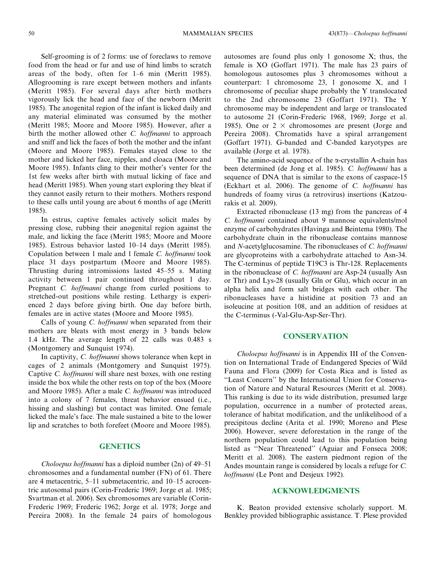Self-grooming is of 2 forms: use of foreclaws to remove food from the head or fur and use of hind limbs to scratch areas of the body, often for 1–6 min (Meritt 1985). Allogrooming is rare except between mothers and infants (Meritt 1985). For several days after birth mothers vigorously lick the head and face of the newborn (Meritt 1985). The anogenital region of the infant is licked daily and any material eliminated was consumed by the mother (Meritt 1985; Moore and Moore 1985). However, after a birth the mother allowed other C. hoffmanni to approach and sniff and lick the faces of both the mother and the infant (Moore and Moore 1985). Females stayed close to the mother and licked her face, nipples, and cloaca (Moore and Moore 1985). Infants cling to their mother's venter for the 1st few weeks after birth with mutual licking of face and head (Meritt 1985). When young start exploring they bleat if they cannot easily return to their mothers. Mothers respond to these calls until young are about 6 months of age (Meritt 1985).

In estrus, captive females actively solicit males by pressing close, rubbing their anogenital region against the male, and licking the face (Meritt 1985; Moore and Moore 1985). Estrous behavior lasted 10–14 days (Meritt 1985). Copulation between 1 male and 1 female C. hoffmanni took place 31 days postpartum (Moore and Moore 1985). Thrusting during intromissions lasted 45–55 s. Mating activity between 1 pair continued throughout 1 day. Pregnant C. hoffmanni change from curled positions to stretched-out positions while resting. Lethargy is experienced 2 days before giving birth. One day before birth, females are in active states (Moore and Moore 1985).

Calls of young *C. hoffmanni* when separated from their mothers are bleats with most energy in 3 bands below 1.4 kHz. The average length of 22 calls was 0.483 s (Montgomery and Sunquist 1974).

In captivity, C. *hoffmanni* shows tolerance when kept in cages of 2 animals (Montgomery and Sunquist 1975). Captive C. hoffmanni will share nest boxes, with one resting inside the box while the other rests on top of the box (Moore and Moore 1985). After a male C. hoffmanni was introduced into a colony of 7 females, threat behavior ensued (i.e., hissing and slashing) but contact was limited. One female licked the male's face. The male sustained a bite to the lower lip and scratches to both forefeet (Moore and Moore 1985).

#### **GENETICS**

Choloepus hoffmanni has a diploid number (2n) of 49–51 chromosomes and a fundamental number (FN) of 61. There are 4 metacentric, 5–11 submetacentric, and 10–15 acrocentric autosomal pairs (Corin-Frederic 1969; Jorge et al. 1985; Svartman et al. 2006). Sex chromosomes are variable (Corin-Frederic 1969; Frederic 1962; Jorge et al. 1978; Jorge and Pereira 2008). In the female 24 pairs of homologous autosomes are found plus only 1 gonosome X; thus, the female is XO (Goffart 1971). The male has 23 pairs of homologous autosomes plus 3 chromosomes without a counterpart: 1 chromosome 23, 1 gonosome X, and 1 chromosome of peculiar shape probably the Y translocated to the 2nd chromosome 23 (Goffart 1971). The Y chromosome may be independent and large or translocated to autosome 21 (Corin-Frederic 1968, 1969; Jorge et al. 1985). One or  $2 \times$  chromosomes are present (Jorge and Pereira 2008). Chromatids have a spiral arrangement (Goffart 1971). G-banded and C-banded karyotypes are available (Jorge et al. 1978).

The amino-acid sequence of the  $\alpha$ -crystallin A-chain has been determined (de Jong et al. 1985). C. hoffmanni has a sequence of DNA that is similar to the exons of caspace-15 (Eckhart et al. 2006). The genome of C. hoffmanni has hundreds of foamy virus (a retrovirus) insertions (Katzourakis et al. 2009).

Extracted ribonuclease (13 mg) from the pancreas of 4 C. hoffmanni contained about 9 mannose equivalents/mol enzyme of carbohydrates (Havinga and Beintema 1980). The carbohydrate chain in the ribonuclease contains mannose and N-acetylglucosamine. The ribonucleases of C. hoffmanni are glycoproteins with a carbohydrate attached to Asn-34. The C-terminus of peptide T19C3 is Thr-128. Replacements in the ribonuclease of *C. hoffmanni* are Asp-24 (usually Asn or Thr) and Lys-28 (usually Gln or Glu), which occur in an alpha helix and form salt bridges with each other. The ribonucleases have a histidine at position 73 and an isoleucine at position 108, and an addition of residues at the C-terminus (-Val-Glu-Asp-Ser-Thr).

#### **CONSERVATION**

Choloepus hoffmanni is in Appendix III of the Convention on International Trade of Endangered Species of Wild Fauna and Flora (2009) for Costa Rica and is listed as "Least Concern" by the International Union for Conservation of Nature and Natural Resources (Meritt et al. 2008). This ranking is due to its wide distribution, presumed large population, occurrence in a number of protected areas, tolerance of habitat modification, and the unlikelihood of a precipitous decline (Arita et al. 1990; Moreno and Plese 2006). However, severe deforestation in the range of the northern population could lead to this population being listed as ''Near Threatened'' (Aguiar and Fonseca 2008; Meritt et al. 2008). The eastern piedmont region of the Andes mountain range is considered by locals a refuge for C. hoffmanni (Le Pont and Desjeux 1992).

#### ACKNOWLEDGMENTS

K. Beaton provided extensive scholarly support. M. Benkley provided bibliographic assistance. T. Plese provided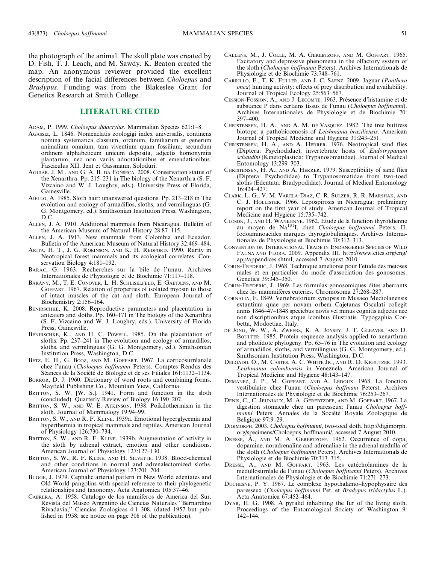the photograph of the animal. The skull plate was created by D. Fish, T. J. Leach, and M. Sawdy. K. Beaton created the map. An anonymous reviewer provided the excellent description of the facial differences between Choloepus and Bradypus. Funding was from the Blakeslee Grant for Genetics Research at Smith College.

#### LITERATURE CITED

- ADAM, P. 1999. Choloepus didactylus. Mammalian Species 621:1–8.
- AGASSIZ, L. 1846. Nomenclatis zoologigi index universalis, continens nomina systematica classium, ordinum, familiarum et generum animalium omnium, tam viventium quam fossilium, secundum ordinem alphabeticum unicum deposita, adjectis homonymiis plantarum, nec non variis adnotationibus et emendationibus. Fasciculus XII. Jent et Gassmann, Soloduri.
- AGUIAR, J. M., AND G. A. B. DA FONSECA. 2008. Conservation status of the Xenarthra. Pp. 215–231 in The biology of the Xenarthra (S. F. Vizcaino and W. J. Loughry, eds.). University Press of Florida, Gainesville.
- AIELLO, A. 1985. Sloth hair: unanswered questions. Pp. 213–218 in The evolution and ecology of armadillos, sloths, and vermilinguas (G. G. Montgomery, ed.). Smithsonian Institution Press, Washington, D.C.
- ALLEN, J. A. 1910. Additional mammals from Nicaragua. Bulletin of the American Museum of Natural History 28:87–115.
- ALLEN, J. A. 1913. New mammals from Colombia and Ecuador. Bulletin of the American Museum of Natural History 32:469–484.
- ARITA, H. T., J. G. ROBINSON, AND K. H. REDFORD. 1990. Rarity in Neotropical forest mammals and its ecological correlates. Conservation Biology 4:181–192.
- BARAC, G. 1963. Recherches sur la bile de l'unau. Archives Internationales de Physiologie et de Biochimie 71:117–118.
- BÁRÁNY, M., T. E. CONOVER, L. H. SCHLISELFELD, E. GAETJENS, AND M. GOFFART. 1967. Relation of properties of isolated myosin to those of intact muscles of the cat and sloth. European Journal of Biochemistry 2:156–164.
- BENIRSCHKE, K. 2008. Reproductive parameters and placentation in anteaters and sloths. Pp. 160–171 in The biology of the Xenarthra (S. F. Vizcaíno and W. J. Loughry, eds.). University of Florida Press, Gainesville.
- BENIRSCHKE, K., AND H. C. POWELL. 1985. On the placentation of sloths. Pp. 237–241 in The evolution and ecology of armadillos, sloths, and vermilinguas (G. G. Montgomery, ed.). Smithsonian Institution Press, Washington, D.C.
- BETZ, E. H., G. BOOZ, AND M. GOFFART. 1967. La corticosurréanale chez l'unau (Choloepus hoffmanni Peters). Comptes Rendus des Séances de la Société de Biologie et de ses Filiales 161:1132–1134.
- BORROR, D. J. 1960. Dictionary of word roots and combining forms. Mayfield Publishing Co., Mountain View, California.
- BRITTON, S. W. [W. S.]. 1941. Form and function in the sloth (concluded). Quarterly Review of Biology 16:190–207.
- BRITTON, S. W., AND W. E. ATKINSON. 1938. Poikilothermism in the sloth. Journal of Mammalogy 19:94–99.
- BRITTON, S. W., AND R. F. KLINE. 1939a. Emotional hyperglycemia and hyperthermia in tropical mammals and reptiles. American Journal of Physiology 126:730–734.
- BRITTON, S. W., AND R. F. KLINE. 1939b. Augmentation of activity in the sloth by adrenal extract, emotion and other conditions. American Journal of Physiology 127:127–130.
- BRITTON, S. W., R. F. KLINE, AND H. SILVETTE. 1938. Blood-chemical and other conditions in normal and adrenalectomized sloths. American Journal of Physiology 123:701–704.
- BUGGE, J. 1979. Cephalic arterial pattern in New World edentates and Old World pangolins with special reference to their phylogenetic relationships and taxonomy. Acta Anatomica 105:37–46.
- CABRERA, A. 1958. Catalogo de los mamiferos de America del Sur. Revista del Museo Argentino de Ciencias Naturales ''Bernardino Rivadavia,'' Ciencias Zoologicas 4:1–308. (dated 1957 but published in 1958; see notice on page 308 of the publication).
- CALLENS, M., J. COLLE, M. A. GEREBTZOFF, AND M. GOFFART. 1965. Excitatory and depressive phenomena in the olfactory system of the sloth (Choloepus hoffmanni Peters). Archives Internationals de Physiologie et de Biochimie 73:748–761.
- CARRILLO, E., T. K. FULLER, AND J. C. SAENZ. 2009. Jaguar (Panthera onca) hunting activity: effects of prey distribution and availability. Journal of Tropical Ecology 25:563–567.
- CESSION-FOSSION, A., AND J. LECOMTE. 1963. Présence d'histamine et de substance P dans certains tissus de l'unau (Choloepus hoffmanni). Archives Internationales de Physiologie et de Biochimie 70: 397–400.
- CHRISTENSEN, H. A., AND A. M. DE VASQUEZ. 1982. The tree buttress biotope: a pathobiocenosis of Leishmania braziliensis. American Journal of Tropical Medicine and Hygiene 31:243–251.
- CHRISTENSEN, H. A., AND A. HERRER. 1976. Neotropical sand flies (Diptera: Psychodidae), invertebrate hosts of *Endotrypanum* schaudini (Kinetoplastida: Trypanosomatidae). Journal of Medical Entomology 13:299–303.
- CHRISTENSEN, H. A., AND A. HERRER. 1979. Susceptibility of sand flies (Diptera: Psychodidae) to Trypanosomatidae from two-toed sloths (Edentata: Bradypodidae). Journal of Medical Entomology 16:424–427.
- CLARK, L. G., V. M. VARELA-DIAZ, C. R. SULZER, R. R. MARSHAK, AND C. J. HOLLISTER. 1966. Lepospirosis in Nicaragua: preliminary report on the first year of study. American Journal of Tropical Medicine and Hygiene 15:735–742.
- CLOSON, J., AND H. WANKENNE. 1962. Etude de la function thyroïdienne<br>au moyen de Na<sup>131</sup>I, chez *Choloepus hoffmanni* Peters. II. Iodoaminoacides marques thyroglobuliniques. Archives Internationales de Physiologie et Biochimie 70:312–313.
- CONVENTION ON INTERNATIONAL TRADE IN ENDANGERED SPECIES OF WILD FAUNA AND FLORA. 2009. Appendix III. http://www.cites.org/eng/ app/appendices.shtml, accessed 7 August 2010.
- CORIN-FREDERIC, J. 1968. Technique amelioree pour l'etude des meioses males et en particulier du mode d'association des gonosomes. Genetica 39:345–350.
- CORIN-FREDERIC, J. 1969. Les formulas gonosomiques dites aberrants chez les mammifères euteries. Chromosoma 27:268–287.
- CORNALIA, E. 1849. Vertebratorium synopsis in Musaeo Mediolanensis extantium quae per novam orbem Cajetanas Osculati collegit annis 1846–47–1848 speciebus novis vel minus cognitis adjectis nec non discriptionibus atque iconibus illustratis. Typogaphia Corbetta, Modoetiae, Italy.
- DE JONG, W. W., A. ZWEERS, K. A. JOYSEY, J. T. GLEAVES, AND D. BOULTER. 1985. Protein sequence analysis applied to xenarthran and pholidote phylogeny. Pp. 65–76 in The evolution and ecology of armadillos, sloths, and vermilinguas (G. G. Montgomery, ed.). Smithsonian Institution Press, Washington, D.C.
- DELGADO, O., M. CASTES, A. C. WHITE JR., AND R. D. KREUTZER. 1993. Leishmania colombiensis in Venezuela. American Journal of Tropical Medicine and Hygiene 48:143–147.
- DEMANEZ, J. P., M. GOFFART, AND A. LEDOUX. 1968. La fonction vestibulaire chez l'unau (Choloepus hoffmani Peters). Archives Internationales de Physiologie et de Biochimie 76:253–267.
- DENIS, C., C. JEUNIAUX, M. A. GEREBTZOFF, AND M. GOFFART. 1967. La digestion stomacale chez un paresseux: l'anau Choloepus hoffmanni Peters. Annales de la Société Royale Zoologique de Beligique 97:9–29.
- DIGIMORPH. 2003. Choloepus hoffmanni, two-toed sloth. http://digimorph. org/specimens/Choloepus\_hoffmanni/, accessed 7 August 2010.
- DRESSE, A., AND M. A. GEREBTZOFF. 1962. Occurrence of dopa, dopamine, noradrenaline and adrenaline in the adrenal medulla of the sloth (Choloepus hoffmanni Peters). Archives Internationals de Physiologie et de Biochimie 70:313–315.
- DRESSE, A., AND M. GOFFART. 1963. Les catécholamines de la médullosurréale de l'unau (Choloepus hoffmanni Peters). Archives Internationales de Physiologie et de Biochimie 71:271–273.
- DUCHESNE, P. Y. 1967. Le complexe hypothalamo–hypophysaire des paresseux (Choloepus hoffmanni Pet. et Bradypus tridactylus L.). Acta Anatomica 67:452–464.
- DYAR, H. G. 1908. A pyralid inhabiting the fur of the living sloth. Proceedings of the Entomological Society of Washington 9: 142–144.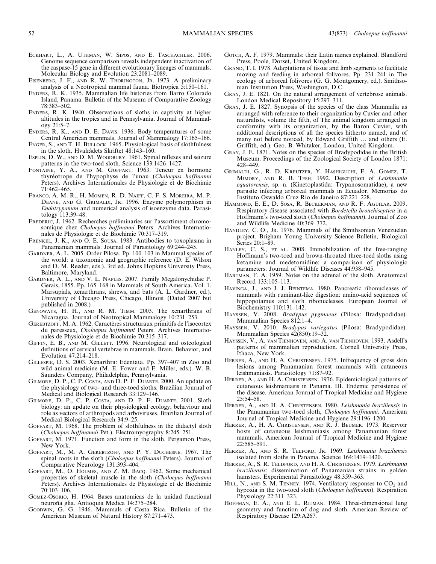- ECKHART, L., A. UTHMAN, W. SIPOS, AND E. TASCHACHLER. 2006. Genome sequence comparison reveals independent inactivation of the caspase-15 gene in different evolutionary lineages of mammals. Molecular Biology and Evolution 23:2081–2089.
- EISENBERG, J. F., AND R. W. THORINGTON, JR. 1973. A preliminary analysis of a Neotropical mammal fauna. Biotropica 5:150–161.
- ENDERS, R. K. 1935. Mammalian life histories from Barro Colorado Island, Panama. Bulletin of the Museum of Comparative Zoology 78:383–502.
- ENDERS, R. K. 1940. Observations of sloths in captivity at higher altitudes in the tropics and in Pennsylvania. Journal of Mammalogy 21:5–7.
- ENDERS, R. K., AND D. E. DAVIS. 1936. Body temperatures of some Central American mammals. Journal of Mammalogy 17:165–166.
- ENGER, S., AND T. H. BULLOCK. 1965. Physiological basis of slothfulness in the sloth. Hvalrådets Skriftet 48:143-160.
- ESPLIN, D. W., AND D. M. WOODBURY. 1961. Spinal reflexes and seizure patterns in the two-toed sloth. Science 133:1426–1427.
- FONTAINE, Y. A., AND M. GOFFART. 1963. Teneur en hormone thyréotrope de l'hypophyse de l'unau (Choloepus hoffmanni Peters). Archives Internationales de Physiologie et de Biochimie 71:462–465.
- FRANCO, A. M. R., H. MOMEN, R. D. NAIFF, C. F. S. MOREIRA, M. P. DEANE, AND G. GRIMALDI, JR. 1996. Enzyme polymorphism in Endotrypanum and numerical analysis of isoenzyme data. Parasitology 113:39–48.
- FREDERIC, J. 1962. Recherches préliminaries sur l'assortiment chromosomique chez Choloepus hoffmanni Peters. Archives Internationales de Physiologie et de Biochimie 70:317–319.
- FRENKEL, J. K., AND O. E. SOUSA. 1983. Antibodies to toxoplasma in Panamanian mammals. Journal of Parasitology 69:244–245.
- GARDNER, A. L. 2005. Order Pilosa. Pp. 100–103 in Mammal species of the world: a taxonomic and geographic reference (D. E. Wilson and D. M. Reeder, eds.). 3rd ed. Johns Hopkins University Press, Baltimore, Maryland.
- GARDNER, A. L., AND V. L. NAPLES. 2007. Family Megalonychidae P. Gerais, 1855. Pp. 165–168 in Mammals of South America. Vol. 1. Marsupials, xenarthrans, shrews, and bats (A. L. Gardner, ed.). University of Chicago Press, Chicago, Illinois. (Dated 2007 but published in 2008.)
- GENOWAYS, H. H., AND R. M. TIMM. 2003. The xenarthrans of Nicaragua. Journal of Neotropical Mammalogy 10:231–253.
- GEREBTZOFF, M. A. 1962. Caractères structuraux primitifs de l'isocortex du paresseux, Choloepus hoffmanni Peters. Archives Internationales de Physiologie et de Biochimie 70:315–317.
- GIFFIN, E. B., AND M. GILLETT. 1996. Neurological and osteological definitions of cervical vertebrae in mammals. Brain, Behavior, and Evolution 47:214–218.
- GILLESPIE, D. S. 2003. Xenarthra: Edentata. Pp. 397–407 in Zoo and wild animal medicine (M. E. Fower and E. Miller, eds.). W. B. Saunders Company, Philadelphia, Pennsylvania.
- GILMORE, D. P., C. P. COSTA, AND D. P. F. DUARTE. 2000. An update on the physiology of two- and three-toed sloths. Brazilian Journal of Medical and Biological Research 33:129–146.
- GILMORE, D. P., C. P. COSTA, AND D. P. F. DUARTE. 2001. Sloth biology: an update on their physiological ecology, behaviour and role as vectors of arthropods and arboviruses. Brazilian Journal of Medical Biological Research 34:9–25.
- GOFFART, M. 1968. The problem of slothfulness in the didactyl sloth (Choloepus hoffmannii Pet.). Electromyography 8:245–251.
- GOFFART, M. 1971. Function and form in the sloth. Pergamon Press, New York.
- GOFFART, M., M. A. GEREBTZOFF, AND P. Y. DUCHESNE. 1967. The spinal roots in the sloth (Choloepus hoffmanni Peters). Journal of Comparative Neurology 131:393–404.
- GOFFART, M., O. HOLMES, AND Z. M. BACQ. 1962. Some mechanical properties of skeletal muscle in the sloth (Choloepus hoffmanni Peters). Archives Internationales de Physiologie et de Biochimie 70:103–106.
- GÓMEZ-OSORIO, H. 1964. Bases anatomicas de la unidad functional neuroña glia. Antioquia Medica 14:275-284.
- GOODWIN, G. G. 1946. Mammals of Costa Rica. Bulletin of the American Museum of Natural History 87:271–473.
- GOTCH, A. F. 1979. Mammals: their Latin names explained. Blandford Press, Poole, Dorset, United Kingdom.
- GRAND, T. I. 1978. Adaptations of tissue and limb segments to facilitate moving and feeding in arboreal folivores. Pp. 231–241 in The ecology of arboreal folivores (G. G. Montgomery, ed.). Smithsonian Institution Press, Washington, D.C.
- GRAY, J. E. 1821. On the natural arrangement of vertebrose animals. London Medical Repository 15:297–311.
- GRAY, J. E. 1827. Synopsis of the species of the class Mammalia as arranged with reference to their organization by Cuvier and other naturalists, volume the fifth, of The animal kingdom arranged in conformity with its organization, by the Baron Cuvier, with additional descriptions of all the species hitherto named, and of many not before noticed, by Edward Griffith … and others (E. Griffith, ed.). Geo. B. Whitaker, London, United Kingdom.
- GRAY, J. E. 1871. Notes on the species of Bradypodidae in the British Museum. Proceedings of the Zoological Society of London 1871: 428–449.
- GRIMALDI, G., R. D. KREUTZER, Y. HASHIGUCHI, E. A. GOMEZ, T. MIMORY, AND R. B. TESH. 1992. Description of Leishmania equatorensis, sp. n. (Kinetoplastida: Trypanosomatidae), a new parasite infecting arboreal mammals in Ecuador. Memorias do Instituto Oswaldo Cruz Rio de Janeiro 87:221–228.
- HAMMOND, E. E., D. SOSA, R. BECKERMAN, AND R. F. AGUILAR. 2009. Respiratory disease associated with Bordetella bronchiseptica in a Hoffmann's two-toed sloth (Choloepus hoffmanni). Journal of Zoo and Wildlife Medicine 40:369–372.
- HANDLEY, C. O., JR. 1976. Mammals of the Smithsonian Venezuelan project. Brigham Young University Science Bulletin, Biological Series 20:1–89.
- HANLEY, C. S., ET AL. 2008. Immobilization of the free-ranging Hoffmann's two-toed and brown-throated three-toed sloths using ketamine and medetomidine: a comparison of physiologic parameters. Journal of Wildlife Diseases 44:938–945.
- HARTMAN, F. A. 1959. Notes on the adrenal of the sloth. Anatomical Record 133:105–113.
- HAVINGA, J., AND J. J. BEINTEMA. 1980. Pancreatic ribonucleases of mammals with ruminant-like digestion: amino-acid sequences of hippopotamus and sloth ribonucleases. European Journal of Biochemistry 110:131–142.
- HAYSSEN, V. 2008. Bradypus pygmaeus (Pilosa: Bradypodidae). Mammalian Species 812:1–4.
- HAYSSEN, V. 2010. Bradypus variegatus (Pilosa: Bradypodidae). Mammalian Species 42(850):19–32.
- HAYSSEN, V., A. VAN TIENHOVEN, AND A. VAN TIENHOVEN. 1993. Asdell's patterns of mammalian reproduction. Cornell University Press, Ithaca, New York.
- HERRER, A., AND H. A. CHRISTENSEN. 1975. Infrequency of gross skin lesions among Panamanian forest mammals with cutaneous leishmaniasis. Parasitology 71:87–92.
- HERRER, A., AND H. A. CHRISTENSEN. 1976. Epidemiological patterns of cutaneous leishmaniasis in Panama. III. Endemic persistence of the disease. American Journal of Tropical Medicine and Hygiene 25:54–58.
- HERRER, A., AND H. A. CHRISTENSEN. 1980. Leishmania braziliensis in the Panamanian two-toed sloth, Choloepus hoffmanni. American Journal of Tropical Medicine and Hygiene 29:1196–1200.
- HERRER, A., H. A. CHRISTENSEN, AND R. J. BEUMER. 1973. Reservoir hosts of cutaneous leishmaniasis among Panamanian forest mammals. American Journal of Tropical Medicine and Hygiene 22:585–591.
- HERRER, A., AND S. R. TELFORD, JR. 1969. Leishmania braziliensis isolated from sloths in Panama. Science 164:1419–1420.
- HERRER, A., S. R. TELDFORD, AND H. A. CHRISTENSEN. 1979. Leishmania braziliensis: dissemination of Panamanian strains in golden hamsters. Experimental Parasitology 48:359–363.
- HILL, N., AND S. M. TENNEY. 1974. Ventilatory responses to  $CO<sub>2</sub>$  and hypoxia in the two-toed sloth (Choloepus hoffmanni). Respiration Physiology 22:311–323.
- HOFFMAN, E. A., AND E. L. RITMAN. 1984. Three-dimensional lung geometry and function of dog and sloth. American Review of Respiratory Disease 129:A267.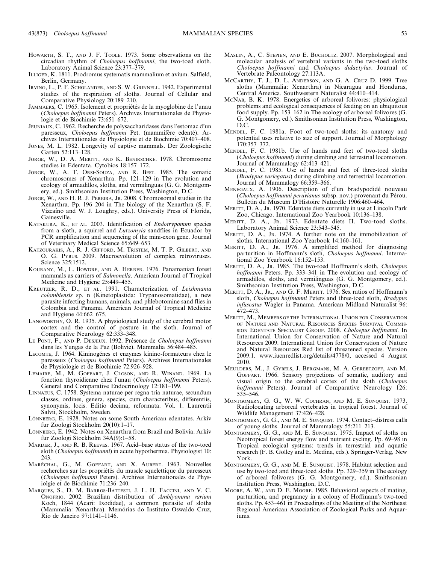- HOWARTH, S. T., AND J. F. TOOLE. 1973. Some observations on the circadian rhythm of Choloepus hoffmanni, the two-toed sloth. Laboratory Animal Science 23:377–379.
- ILLIGER, K. 1811. Prodromus systematis mammalium et avium. Salfield, Berlin, Germany.
- IRVING, L., P. F. SCHOLANDER, AND S. W. GRINNELL. 1942. Experimental studies of the respiration of sloths. Journal of Cellular and Comparative Physiology 20:189–210.
- JAMMAERS, C. 1965. Isolement et propriétés de la myoglobine de l'unau (Choloepus hoffmanni Peters). Archives Internationales de Physiologie et de Biochimie 73:651–672.
- JEUNIAUX, C. 1962. Recherche de polysaccharidases dans l'estomac d'un paresseux, Choloepus hoffmanni Pet. (mammifère edenté). Archives Internationales de Physiologie et de Biochimie 70:407–408.
- JONES, M. L. 1982. Longevity of captive mammals. Der Zoologische Garten 52:113–128.
- JORGE, W., D. A. MERITT, AND K. BENIRSCHKE. 1978. Chromosome studies in Edentata. Cytobios 18:157–172.
- JORGE, W., A. T. ORSI-SOUZA, AND R. BEST. 1985. The somatic chromosomes of Xenarthra. Pp. 121–129 in The evolution and ecology of armadillos, sloths, and vermilinguas (G. G. Montgomery, ed.). Smithsonian Institution Press, Washington, D.C.
- JORGE, W., AND H. R. J. PEREIRA, JR. 2008. Chromosomal studies in the Xenarthra. Pp. 196–204 in The biology of the Xenarthra (S. F. Vizcaino and W. J. Loughry, eds.). University Press of Florida, Gainesville.
- KATAKURA, K., ET AL. 2003. Identification of Endotrypanum species from a sloth, a squirrel and *Lutzomyia* sandflies in Ecuador by PCR amplification and sequencing of the mini-exon gene. Journal of Veterinary Medical Science 65:649–653.
- KATZOURAKIS, A., R. J. GIFFORD, M. TRISTEM, M. T. P. GILBERT, AND O. G. PYBUS. 2009. Macroevolution of complex retroviruses. Science 325:1512.
- KOURANY, M., L. BOWDRE, AND A. HERRER. 1976. Panamanian forest mammals as carriers of Salmonella. American Journal of Tropical Medicine and Hygiene 25:449–455.
- KREUTZER, R. D., ET AL. 1991. Characterization of Leishmania colombiensis sp. n (Kinetoplastida: Trypanosomatidae), a new parasite infecting humans, animals, and phlebotomine sand flies in Colombia and Panama. American Journal of Tropical Medicine and Hygiene 44:662–675.
- LANGWORTHY, O. R. 1935. A physiological study of the cerebral motor cortex and the control of posture in the sloth. Journal of Comparative Neurology 62:333–348.
- LE PONT, F., AND P. DESJEUX. 1992. Présence de Choloepus hoffmanni dans les Yungas de la Paz (Bolivie). Mammalia 56:484–485.
- LECOMTE, J. 1964. Kininogénes et enzymes kinino-formateurs chez le paresseux (Choloepus hoffmanni Peters). Archives Internationales de Physiologie et de Biochimie 72:926–928.
- LEMAIRE, M., M. GOFFART, J. CLOSON, AND R. WINAND. 1969. La fonction thyroidienne chez l'unau (Choloepus hoffmanni Peters). General and Comparative Endocrinology 12:181–199.
- LINNAEUS, C. 1758. Systema naturae per regna tria naturae, secundum classes, ordines, genera, species, cum characteribus, differentiis, synonymis, locis. Editio decima, reformata. Vol. 1. Laurentii Salvii, Stockholm, Sweden.
- LÖNNBERG, E. 1928. Notes on some South American edentates. Arkiv fur Zoologi Stockholm 20(10):1–17.
- LÖNNBERG, E. 1942. Notes on Xenarthra from Brazil and Bolivia. Arkiv fur Zoologi Stockholm 34A(9):1–58.
- MARDER, J., AND R. B. REEVES. 1967. Acid–base status of the two-toed sloth (Choloepus hoffmanni) in acute hypothermia. Physiologist 10: 243.
- MARÉCHAL, G., M. GOFFART, AND X. AUBERT. 1963. Nouvelles recherches sur les propriétés du muscle squelettique du paresseux (Choloepus hoffmanni Peters). Archives Internationales de Physiolgie et de Biochimie 71:236–240.
- MARQUES, S., D. M. BARROS-BATTESTI, J. L. H. FACCINI, AND V. C. ONOFRIO. 2002. Brazilian distribution of Amblyomma varium Koch, 1844 (Acari: Ixodidae), a common parasite of sloths (Mammalia: Xenarthra). Memórias do Instituto Oswaldo Cruz, Rio de Janeiro 97:1141–1146.
- MASLIN, A., C. STEPIEN, AND E. BUCHOLTZ. 2007. Morphological and molecular analysis of vertebral variants in the two-toed sloths Choloepus hoffmanni and Choloepus didactylus. Journal of Vertebrate Paleontology 27:113A.
- MCCARTHY, T. J., D. L. ANDERSON, AND G. A. CRUZ D. 1999. Tree sloths (Mammalia: Xenarthra) in Nicaragua and Honduras, Central America. Southwestern Naturalist 44:410–414.
- MCNAB, B. K. 1978. Energetics of arboreal folivores: physiological problems and ecological consequences of feeding on an ubiquitous food supply. Pp. 153–162 in The ecology of arboreal folivores (G. G. Montgomery, ed.). Smithsonian Institution Press, Washington, D.C.
- MENDEL, F. C. 1981a. Foot of two-toed sloths: its anatomy and potential uses relative to size of support. Journal of Morphology 170:357–372.
- MENDEL, F. C. 1981b. Use of hands and feet of two-toed sloths (Choloepus hoffmanni) during climbing and terrestrial locomotion. Journal of Mammalogy 62:413–421.
- MENDEL, F. C. 1985. Use of hands and feet of three-toed sloths (Bradypus variegatus) during climbing and terrestrial locomotion. Journal of Mammalogy 66:359–366.
- MENEGAUX, A. 1906. Description of d'un bradypodide´ nouveau (Choloepus hoffmanni peruvianus subsp. nov.) provenant du Pérou. Bulletin du Museum D'Histoire Naturelle 1906:460–464.
- MERITT, D. A., JR. 1970. Edentate diets currently in use at Lincoln Park Zoo, Chicago. International Zoo Yearbook 10:136–138.
- MERITT, D. A., JR. 1973. Edentate diets II. Two-toed sloths. Laboratory Animal Science 23:543–545.
- MERITT, D. A., JR. 1974. A further note on the immobilization of sloths. International Zoo Yearbook 14:160–161.
- MERITT, D. A., JR. 1976. A simplified method for diagnosing parturition in Hoffmann's sloth, Choloepus hoffmanni. International Zoo Yearbook 16:152–153.
- MERITT, D. A., JR. 1985. The two-toed Hoffmann's sloth, Choloepus hoffmanni Peters. Pp. 333–341 in The evolution and ecology of armadillos, sloths, and vermilinguas (G. G. Montgomery, ed.). Smithsonian Institution Press, Washington, D.C.
- MERITT, D. A., JR., AND G. F. MERITT. 1976. Sex ratios of Hoffmann's sloth, Choloepus hoffmanni Peters and three-toed sloth, Bradypus infuscatus Wagler in Panama. American Midland Naturalist 96: 472–473.
- MERITT, M., MEMBERS OF THE INTERNATIONAL UNION FOR CONSERVATION OF NATURE AND NATURAL RESOURCES SPECIES SURVIVAL COMMIS-SION EDENTATE SPECIALIST GROUP. 2008. Choloepus hoffmanni. In International Union for Conservation of Nature and Natural Resources 2009. International Union for Conservation of Nature and Natural Resources Red list of threatened species. Version 2009.1. www.iucnredlist.org/details/4778/0, accessed 4 August 2010.
- MEULDERS, M., J. GYBELS, J. BERGMANS, M. A. GEREBTZOFF, AND M. GOFFART. 1966. Sensory projections of somatic, auditory and visual origin to the cerebral cortex of the sloth (Choloepus hoffmanni Peters). Journal of Comparative Neurology 126: 535–546.
- MONTGOMERY, G. G., W. W. COCHRAN, AND M. E. SUNQUIST. 1973. Radiolocating arboreal vertebrates in tropical forest. Journal of Wildlife Management 37:426–428.
- MONTGOMERY, G. G., AND M. E. SUNQUIST. 1974. Contact–distress calls of young sloths. Journal of Mammalogy 55:211–213.
- MONTGOMERY, G. G., AND M. E. SUNQUIST. 1975. Impact of sloths on Neotropical forest energy flow and nutrient cycling. Pp. 69–98 in Tropical ecological systems: trends in terrestrial and aquatic research (F. B. Golley and E. Medina, eds.). Springer-Verlag, New York.
- MONTGOMERY, G. G., AND M. E. SUNQUIST. 1978. Habitat selection and use by two-toed and three-toed sloths. Pp. 329–359 in The ecology of arboreal folivores (G. G. Montgomery, ed.). Smithsonian Institution Press, Washington, D.C.
- MOORE, A. W., AND D. E. MOORE. 1985. Behavioral aspects of mating, parturition, and pregnancy in a colony of Hoffmann's two-toed sloths. Pp. 453–461 in Proceedings of the Meeting of the Northeast Regional American Association of Zoological Parks and Aquariums.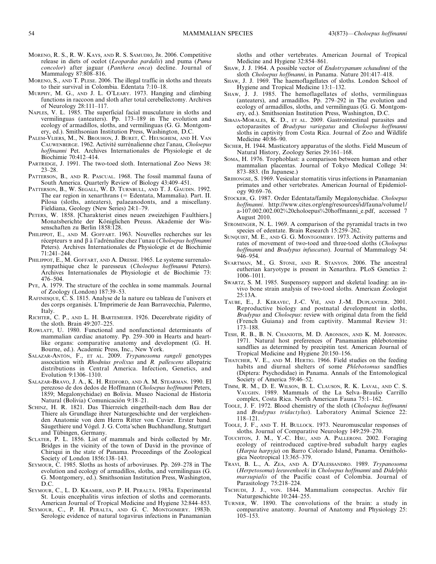- MORENO, R. S., R. W. KAYS, AND R. S. SAMUDIO, JR. 2006. Competitive release in diets of ocelot (Leopardus pardalis) and puma (Puma concolor) after jaguar (Panthera onca) decline. Journal of Mammalogy 87:808–816.
- MORENO, S., AND T. PLESE. 2006. The illegal traffic in sloths and threats to their survival in Colombia. Edentata 7:10–18.
- MURPHY, M. G., AND J. L. O'LEARY. 1973. Hanging and climbing functions in raccoon and sloth after total cerebellectomy. Archives of Neurology 28:111–117.
- NAPLES, V. L. 1985. The superficial facial musculature in sloths and vermilinguas (anteaters). Pp. 173–189 in The evolution and ecology of armadillos, sloths, and vermilinguas (G. G. Montgomery, ed.). Smithsonian Institution Press, Washington, D.C.
- PALEM-VLIERS, M., N. BROUHON, J. BURET, C. HEUSGHEM, AND H. VAN CAUWENBERGE. 1962. Activité surrénalienne chez l'anau, Choloepus hoffmanni Pet. Archives Internationales de Physiologie et de Biochimie 70:412–414.
- PARTRIDGE, J. 1991. The two-toed sloth. International Zoo News 38: 23–28.
- PATTERSON, B., AND R. PASCUAL. 1968. The fossil mammal fauna of South America. Quarterly Review of Biology 43:409–451.
- PATTERSON, B., W. SEGALL, W. D. TURNBULL, AND T. J. GAUDIN. 1992. The ear region in xenarthrans (= Edentata, Mammalia). Part. II. Pilosa (sloths, anteaters), palaeanodonts, and a miscellany. Fieldiana, Geology (New Series) 24:1–79.
- PETERS, W. 1858. [Charakterist eines neuen zweizehigen Faulthiers.] Monatsberichte der Königlichen Preuss. Akademie der Wissenschaften zu Berlin 1858:128.
- PHILIPPOT, E., AND M. GOFFART. 1963. Nouvelles recherches sur les récepteurs  $\alpha$  and  $\beta$  à l'adrénaline chez l'unau (Choloepus hoffmanni Peters). Archives Internationales de Physiologie et de Biochimie 71:241–244.
- PHILIPPOT, E., M. GOFFART, AND A. DRESSE. 1965. Le systeme surrenalosympathique chez le paresseux (Choloepus hoffmanni Peters). Archives Internationales de Physiologie et de Biochimie 73: 476–504.
- PYE, A. 1979. The structure of the cochlea in some mammals. Journal of Zoology (London) 187:39–53.
- RAFINESQUE, C. S. 1815. Analyse de la nature ou tableau de l'univers et des corps organisés. L'Imprimerie de Jean Barravecchia, Palermo, Italy.
- RICHTER, C. P., AND L. H. BARTEMEIER. 1926. Decerebrate rigidity of the sloth. Brain 49:207–225.
- ROWLATT, U. 1980. Functional and nonfunctional determinants of mammalian cardiac anatomy. Pp. 259–300 in Hearts and heartlike organs: comparative anatomy and development (G. H. Bourne, ed.). Academic Press, Inc., New York.
- SALAZAR-ANTÓN, F., ET AL. 2009. Trypanosoma rangeli genotypes association with Rhodnius prolixus and R. pallescens allopatric distributions in Central America. Infection, Genetics, and Evolution 9:1306–1310.
- SALAZAR-BRAVO, J. A., K. H. REDFORD, AND A. M. STEARMAN. 1990. El perezoso de dos dedos de Hoffmann (Choloepus hoffmanni Peters, 1859; Megalonychidae) en Bolivia. Museo Nacional de Historia Natural (Bolivia) Comunicación 9:18–21.
- SCHINZ, H. R. 1821. Das Thierreich eingetheilt-nach dem Bau der Thiere als Grundlage ihrer Naturgeschichte und der vergleichenden Anatomie von dem Herrn Ritter von Cuvier. Erster band. Säugethiere und Vógel. J. G. Cotta'schen Buchhandlung, Stuttgart and Tübingen, Germany.
- SCLATER, P. L. 1856. List of mammals and birds collected by Mr. Bridges in the vicinity of the town of David in the province of Chiriqui in the state of Panama. Proceedings of the Zoological Society of London 1856:138–143.
- SEYMOUR, C. 1985. Sloths as hosts of arboviruses. Pp. 269–278 in The evolution and ecology of armadillos, sloths, and vermilinguas (G. G. Montgomery, ed.). Smithsonian Institution Press, Washington, D.C.
- SEYMOUR, C., L. D. KRAMER, AND P. H. PERALTA. 1983a. Experimental St. Louis encephalitis virus infection of sloths and cormorants. American Journal of Tropical Medicine and Hygiene 32:844–853.
- SEYMOUR, C., P. H. PERALTA, AND G. C. MONTGOMERY. 1983b. Serologic evidence of natural togavirus infections in Panamanian

sloths and other vertebrates. American Journal of Tropical Medicine and Hygiene 32:854–861.

- SHAW, J. J. 1964. A possible vector of Endotrypanum schaudinni of the sloth Choloepus hoffmanni, in Panama. Nature 201:417–418.
- SHAW, J. J. 1969. The haemoflagellates of sloths. London School of Hygiene and Tropical Medicine 13:1–132.
- SHAW, J. J. 1985. The hemoflagellates of sloths, vermilinguas (anteaters), and armadillos. Pp. 279–292 in The evolution and ecology of armadillos, sloths, and vermilinguas (G. G. Montgomery, ed.). Smithsonian Institution Press, Washington, D.C.
- SIBAJA-MORALES, K. D., ET AL. 2009. Gastrointestinal parasites and ectoparasites of Bradypus variegatus and Choloepus hoffmanni sloths in captivity from Costa Rica. Journal of Zoo and Wildlife Medicine 40:86–90.
- SICHER, H. 1944. Masticatory apparatus of the sloths. Field Museum of Natural History, Zoology Series 29:161–168.
- SOMA, H. 1976. Trophoblast: a comparison between human and other mammalian placentas. Journal of Tokyo Medical College 34: 873–883. (In Japanese.)
- SRIHONGSE, S. 1969. Vesicular stomatitis virus infections in Panamanian primates and other vertebrates. American Journal of Epidemiology 90:69–76.
- STOCKER, G. 1987. Order Edentata/family Megalonychidae. Choloepus hoffmanni. http://www.cites.org/eng/resources/id/fauna/volume1/ a-107.002.002.002%20choloepus%20hoffmanni\_e.pdf, accessed 7 August 2010.
- STROMINGER, N. L. 1969. A comparison of the pyramidal tracts in two species of edentate. Brain Research 15:259–262.
- SUNQUIST, M. E., AND G. G. MONTGOMERY. 1973. Activity patterns and rates of movement of two-toed and three-toed sloths (Choloepus hoffmanni and Bradypus infuscatus). Journal of Mammalogy 54: 946–954.
- SVARTMAN, M., G. STONE, AND R. STANYON. 2006. The ancestral eutherian karyotype is present in Xenarthra. PLoS Genetics 2: 1006–1011.
- SWARTZ, S. M. 1985. Suspensory support and skeletal loading: an invivo bone strain analysis of two-toed sloths. American Zoologist 25:13A.
- TAUBE, E., J. KERAVEC, J.-C. VIÉ, AND J.-M. DUPLANTIER. 2001. Reproductive biology and postnatal development in sloths, Bradypus and Choloepus: review with original data from the field (French Guiana) and from captivity. Mammal Review 31: 173–188.
- TESH, R. B., B. N. CHANIOTIS, M. D. ARONSON, AND K. M. JOHNSON. 1971. Natural host preferences of Panamanian phlebotomine sandflies as determined by precipitin test. American Journal of Tropical Medicine and Hygiene 20:150–156.
- THATCHER, V. E., AND M. HERTIG. 1966. Field studies on the feeding habits and diurnal shelters of some Phlebotomus sandflies (Diptera: Psychodidae) in Panama. Annals of the Entomological Society of America 59:46–52.
- TIMM, R. M., D. E. WILSON, B. L. CLAUSON, R. K. LAVAL, AND C. S. VAUGHN. 1989. Mammals of the La Selva–Braulio Carrillo complex, Costa Rica. North American Fauna 75:1–162.
- TOOLE, J. F. 1972. Blood chemistry of the sloth (Choloepus hoffmanni and Bradypus tridactylus). Laboratory Animal Science 22: 118–121.
- TOOLE, J. F., AND T. H. BULLOCK. 1973. Neuromuscular responses of sloths. Journal of Comparative Neurology 149:259–270.
- TOUCHTON, J. M., Y.-C. HSU, AND A. PALLERONI. 2002. Foraging ecology of reintroduced captive-bred subadult harpy eagles (Harpia harpyja) on Barro Colorado Island, Panama. Ornithologica Neotropical 13:365–379.
- TRAVI, B. L., A. ZEA, AND A. D'ALESSANDRO. 1989. Trypanosoma (Herpetosoma) leeuwenhoeki in Choloepus hoffmanni and Didelphis marsupialis of the Pacific coast of Colombia. Journal of Parasitology 75:218–224.
- Tschupi, J. J., von. 1844. Mammalium conspectus. Archiv für Naturgeschichte 10:244–255.
- TURNER, W. 1890. The convolutions of the brain: a study in comparative anatomy. Journal of Anatomy and Physiology 25: 105–153.